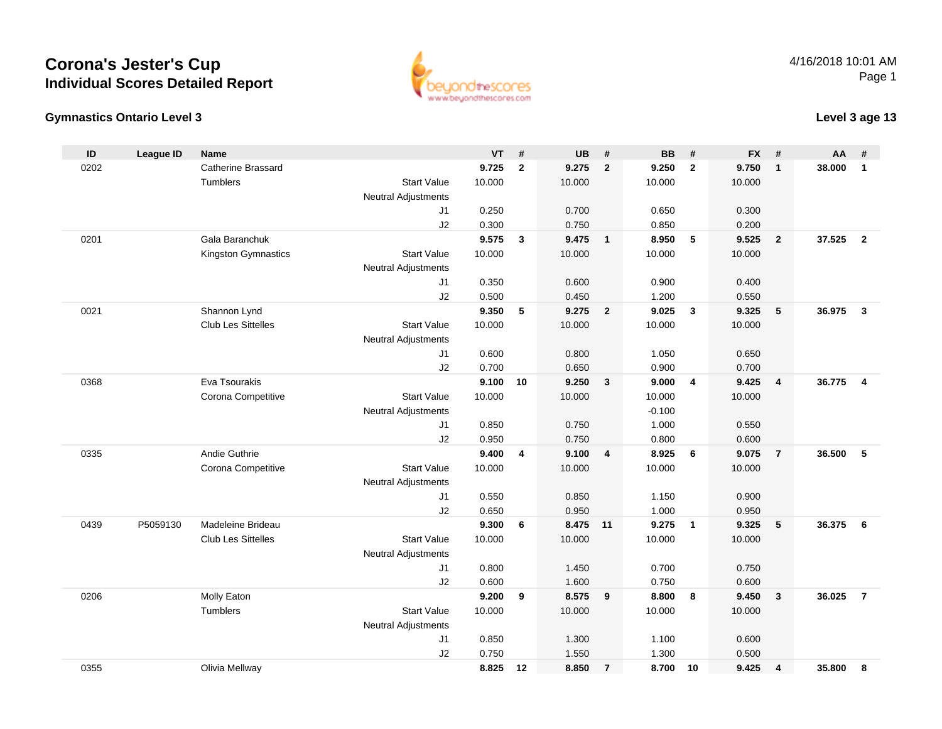### **Gymnastics Ontario Level 3**

4/16/2018 10:01 AMPage 1



### **Level 3 age 13**

| ID   | League ID | <b>Name</b>               |                            | <b>VT</b> | #              | <b>UB</b> | #                       | <b>BB</b> | #              | <b>FX</b> | #                       | AA     | #                       |
|------|-----------|---------------------------|----------------------------|-----------|----------------|-----------|-------------------------|-----------|----------------|-----------|-------------------------|--------|-------------------------|
| 0202 |           | <b>Catherine Brassard</b> |                            | 9.725     | $\overline{2}$ | 9.275     | $\overline{2}$          | 9.250     | $\overline{2}$ | 9.750     | $\mathbf{1}$            | 38,000 | $\mathbf{1}$            |
|      |           | <b>Tumblers</b>           | <b>Start Value</b>         | 10.000    |                | 10.000    |                         | 10.000    |                | 10.000    |                         |        |                         |
|      |           |                           | <b>Neutral Adjustments</b> |           |                |           |                         |           |                |           |                         |        |                         |
|      |           |                           | J1                         | 0.250     |                | 0.700     |                         | 0.650     |                | 0.300     |                         |        |                         |
|      |           |                           | J2                         | 0.300     |                | 0.750     |                         | 0.850     |                | 0.200     |                         |        |                         |
| 0201 |           | Gala Baranchuk            |                            | 9.575     | $\mathbf{3}$   | 9.475     | $\overline{1}$          | 8.950     | 5              | 9.525     | $\overline{2}$          | 37.525 | $\overline{2}$          |
|      |           | Kingston Gymnastics       | <b>Start Value</b>         | 10.000    |                | 10.000    |                         | 10.000    |                | 10.000    |                         |        |                         |
|      |           |                           | <b>Neutral Adjustments</b> |           |                |           |                         |           |                |           |                         |        |                         |
|      |           |                           | J1                         | 0.350     |                | 0.600     |                         | 0.900     |                | 0.400     |                         |        |                         |
|      |           |                           | J2                         | 0.500     |                | 0.450     |                         | 1.200     |                | 0.550     |                         |        |                         |
| 0021 |           | Shannon Lynd              |                            | 9.350     | 5              | 9.275     | $\overline{\mathbf{2}}$ | 9.025     | $\mathbf{3}$   | 9.325     | 5                       | 36.975 | $\overline{\mathbf{3}}$ |
|      |           | <b>Club Les Sittelles</b> | <b>Start Value</b>         | 10.000    |                | 10.000    |                         | 10.000    |                | 10.000    |                         |        |                         |
|      |           |                           | <b>Neutral Adjustments</b> |           |                |           |                         |           |                |           |                         |        |                         |
|      |           |                           | J1                         | 0.600     |                | 0.800     |                         | 1.050     |                | 0.650     |                         |        |                         |
|      |           |                           | J2                         | 0.700     |                | 0.650     |                         | 0.900     |                | 0.700     |                         |        |                         |
| 0368 |           | Eva Tsourakis             |                            | 9.100     | 10             | 9.250     | $\overline{\mathbf{3}}$ | 9.000     | $\overline{4}$ | 9.425     | $\overline{\mathbf{4}}$ | 36.775 | $\overline{4}$          |
|      |           | Corona Competitive        | <b>Start Value</b>         | 10.000    |                | 10.000    |                         | 10.000    |                | 10.000    |                         |        |                         |
|      |           |                           | <b>Neutral Adjustments</b> |           |                |           |                         | $-0.100$  |                |           |                         |        |                         |
|      |           |                           | J1                         | 0.850     |                | 0.750     |                         | 1.000     |                | 0.550     |                         |        |                         |
|      |           |                           | J2                         | 0.950     |                | 0.750     |                         | 0.800     |                | 0.600     |                         |        |                         |
| 0335 |           | Andie Guthrie             |                            | 9.400     | 4              | 9.100     | $\overline{4}$          | 8.925     | 6              | 9.075     | $\overline{7}$          | 36.500 | -5                      |
|      |           | Corona Competitive        | <b>Start Value</b>         | 10.000    |                | 10.000    |                         | 10.000    |                | 10.000    |                         |        |                         |
|      |           |                           | <b>Neutral Adjustments</b> |           |                |           |                         |           |                |           |                         |        |                         |
|      |           |                           | J1                         | 0.550     |                | 0.850     |                         | 1.150     |                | 0.900     |                         |        |                         |
|      |           |                           | J2                         | 0.650     |                | 0.950     |                         | 1.000     |                | 0.950     |                         |        |                         |
| 0439 | P5059130  | Madeleine Brideau         |                            | 9.300     | 6              | 8.475 11  |                         | 9.275     | $\overline{1}$ | 9.325     | 5                       | 36.375 | 6                       |
|      |           | <b>Club Les Sittelles</b> | <b>Start Value</b>         | 10.000    |                | 10.000    |                         | 10.000    |                | 10.000    |                         |        |                         |
|      |           |                           | <b>Neutral Adjustments</b> |           |                |           |                         |           |                |           |                         |        |                         |
|      |           |                           | J1                         | 0.800     |                | 1.450     |                         | 0.700     |                | 0.750     |                         |        |                         |
|      |           |                           | J2                         | 0.600     |                | 1.600     |                         | 0.750     |                | 0.600     |                         |        |                         |
| 0206 |           | Molly Eaton               |                            | 9.200     | 9              | 8.575     | 9                       | 8.800     | 8              | 9.450     | 3                       | 36.025 | $\overline{7}$          |
|      |           | Tumblers                  | <b>Start Value</b>         | 10.000    |                | 10.000    |                         | 10.000    |                | 10.000    |                         |        |                         |
|      |           |                           | <b>Neutral Adjustments</b> |           |                |           |                         |           |                |           |                         |        |                         |
|      |           |                           | J1                         | 0.850     |                | 1.300     |                         | 1.100     |                | 0.600     |                         |        |                         |
|      |           |                           | J2                         | 0.750     |                | 1.550     |                         | 1.300     |                | 0.500     |                         |        |                         |
| 0355 |           | Olivia Mellway            |                            | 8.825     | 12             | 8.850     | $\overline{7}$          | 8.700     | 10             | 9.425     | 4                       | 35.800 | 8                       |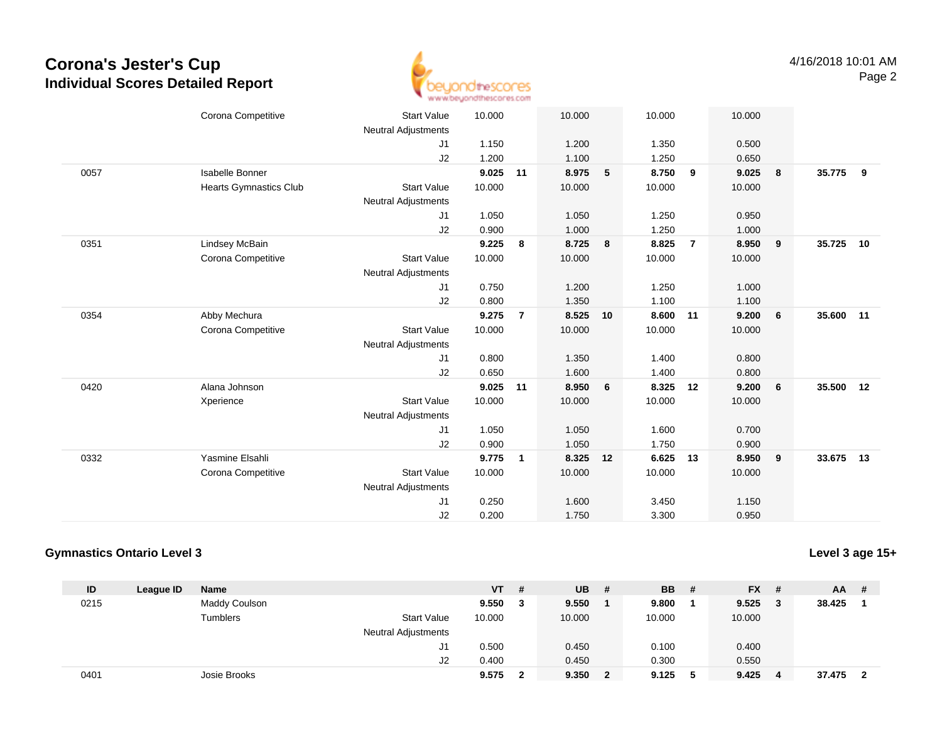

|      | Corona Competitive            | <b>Start Value</b><br><b>Neutral Adjustments</b> | 10.000 |                | 10.000 |    | 10.000 |                | 10.000 |                  |           |     |
|------|-------------------------------|--------------------------------------------------|--------|----------------|--------|----|--------|----------------|--------|------------------|-----------|-----|
|      |                               | J1                                               | 1.150  |                | 1.200  |    | 1.350  |                | 0.500  |                  |           |     |
|      |                               | J2                                               | 1.200  |                | 1.100  |    | 1.250  |                | 0.650  |                  |           |     |
| 0057 | Isabelle Bonner               |                                                  | 9.025  | 11             | 8.975  | 5  | 8.750  | 9              | 9.025  | 8                | 35.775    | - 9 |
|      | <b>Hearts Gymnastics Club</b> | <b>Start Value</b>                               | 10.000 |                | 10.000 |    | 10.000 |                | 10.000 |                  |           |     |
|      |                               | <b>Neutral Adjustments</b>                       |        |                |        |    |        |                |        |                  |           |     |
|      |                               | J1                                               | 1.050  |                | 1.050  |    | 1.250  |                | 0.950  |                  |           |     |
|      |                               | J2                                               | 0.900  |                | 1.000  |    | 1.250  |                | 1.000  |                  |           |     |
| 0351 | Lindsey McBain                |                                                  | 9.225  | 8              | 8.725  | 8  | 8.825  | $\overline{7}$ | 8.950  | 9                | 35.725    | 10  |
|      | Corona Competitive            | <b>Start Value</b>                               | 10.000 |                | 10.000 |    | 10.000 |                | 10.000 |                  |           |     |
|      |                               | <b>Neutral Adjustments</b>                       |        |                |        |    |        |                |        |                  |           |     |
|      |                               | J1                                               | 0.750  |                | 1.200  |    | 1.250  |                | 1.000  |                  |           |     |
|      |                               | J2                                               | 0.800  |                | 1.350  |    | 1.100  |                | 1.100  |                  |           |     |
| 0354 | Abby Mechura                  |                                                  | 9.275  | $\overline{7}$ | 8.525  | 10 | 8.600  | 11             | 9.200  | $6\phantom{.0}6$ | 35.600 11 |     |
|      | Corona Competitive            | <b>Start Value</b>                               | 10.000 |                | 10.000 |    | 10.000 |                | 10.000 |                  |           |     |
|      |                               | <b>Neutral Adjustments</b>                       |        |                |        |    |        |                |        |                  |           |     |
|      |                               | J1                                               | 0.800  |                | 1.350  |    | 1.400  |                | 0.800  |                  |           |     |
|      |                               | J2                                               | 0.650  |                | 1.600  |    | 1.400  |                | 0.800  |                  |           |     |
| 0420 | Alana Johnson                 |                                                  | 9.025  | 11             | 8.950  | 6  | 8.325  | 12             | 9.200  | 6                | 35.500 12 |     |
|      | Xperience                     | <b>Start Value</b>                               | 10.000 |                | 10.000 |    | 10.000 |                | 10.000 |                  |           |     |
|      |                               | <b>Neutral Adjustments</b>                       |        |                |        |    |        |                |        |                  |           |     |
|      |                               | J1                                               | 1.050  |                | 1.050  |    | 1.600  |                | 0.700  |                  |           |     |
|      |                               | J2                                               | 0.900  |                | 1.050  |    | 1.750  |                | 0.900  |                  |           |     |
| 0332 | Yasmine Elsahli               |                                                  | 9.775  | $\mathbf{1}$   | 8.325  | 12 | 6.625  | 13             | 8.950  | 9                | 33.675 13 |     |
|      | Corona Competitive            | <b>Start Value</b>                               | 10.000 |                | 10.000 |    | 10.000 |                | 10.000 |                  |           |     |
|      |                               | <b>Neutral Adjustments</b>                       |        |                |        |    |        |                |        |                  |           |     |
|      |                               | J <sub>1</sub>                                   | 0.250  |                | 1.600  |    | 3.450  |                | 1.150  |                  |           |     |
|      |                               | J2                                               | 0.200  |                | 1.750  |    | 3.300  |                | 0.950  |                  |           |     |

#### **Gymnastics Ontario Level 3**

**Level 3 age 15+**

| ID   | League ID | <b>Name</b>   |                            | <b>VT</b> | # | <b>UB</b> | #            | <b>BB</b> | - # | <b>FX</b> | - # | <b>AA</b> | -# |
|------|-----------|---------------|----------------------------|-----------|---|-----------|--------------|-----------|-----|-----------|-----|-----------|----|
| 0215 |           | Maddy Coulson |                            | 9.550     | 3 | 9.550     |              | 9.800     |     | 9.525     | - 3 | 38.425    |    |
|      |           | Tumblers      | <b>Start Value</b>         | 10.000    |   | 10.000    |              | 10.000    |     | 10.000    |     |           |    |
|      |           |               | <b>Neutral Adjustments</b> |           |   |           |              |           |     |           |     |           |    |
|      |           |               | J1                         | 0.500     |   | 0.450     |              | 0.100     |     | 0.400     |     |           |    |
|      |           |               | J2                         | 0.400     |   | 0.450     |              | 0.300     |     | 0.550     |     |           |    |
| 0401 |           | Josie Brooks  |                            | 9.575     | 2 | 9.350     | $\mathbf{2}$ | 9.125     | -5  | 9.425     | - 4 | 37.475    |    |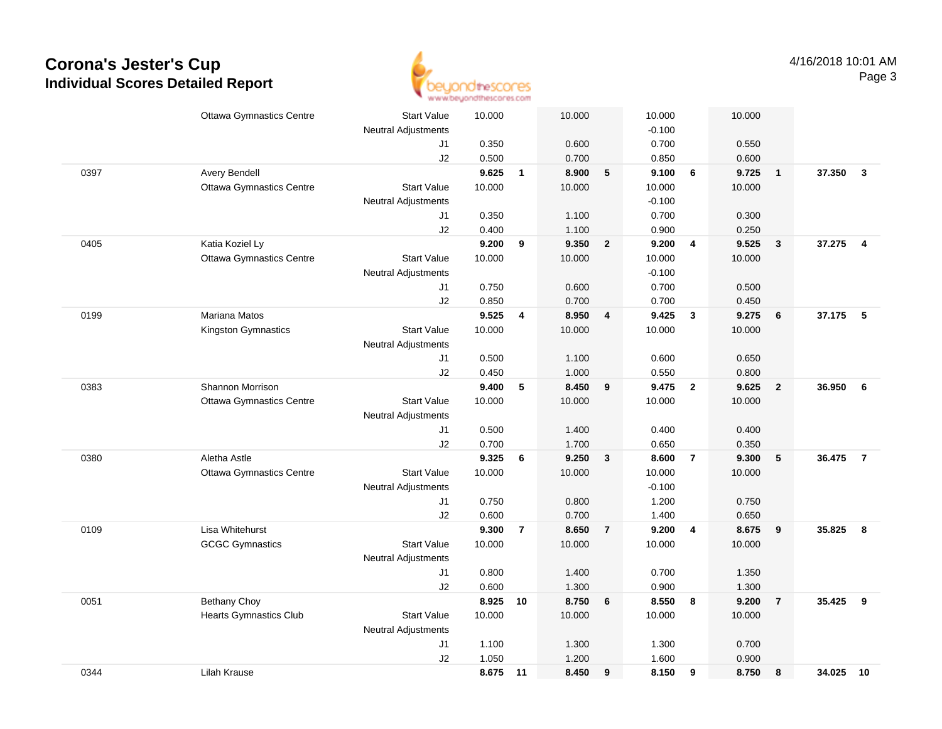

|      | <b>Ottawa Gymnastics Centre</b> | <b>Start Value</b>         | 10.000   |                | 10.000 |                | 10.000   |                         | 10.000 |                         |           |                |
|------|---------------------------------|----------------------------|----------|----------------|--------|----------------|----------|-------------------------|--------|-------------------------|-----------|----------------|
|      |                                 | <b>Neutral Adjustments</b> |          |                |        |                | $-0.100$ |                         |        |                         |           |                |
|      |                                 | J1                         | 0.350    |                | 0.600  |                | 0.700    |                         | 0.550  |                         |           |                |
|      |                                 | J2                         | 0.500    |                | 0.700  |                | 0.850    |                         | 0.600  |                         |           |                |
| 0397 | <b>Avery Bendell</b>            |                            | 9.625    | $\overline{1}$ | 8.900  | 5              | 9.100    | 6                       | 9.725  | $\overline{\mathbf{1}}$ | 37.350    | $\mathbf{3}$   |
|      | <b>Ottawa Gymnastics Centre</b> | <b>Start Value</b>         | 10.000   |                | 10.000 |                | 10.000   |                         | 10.000 |                         |           |                |
|      |                                 | <b>Neutral Adjustments</b> |          |                |        |                | $-0.100$ |                         |        |                         |           |                |
|      |                                 | J1                         | 0.350    |                | 1.100  |                | 0.700    |                         | 0.300  |                         |           |                |
|      |                                 | J2                         | 0.400    |                | 1.100  |                | 0.900    |                         | 0.250  |                         |           |                |
| 0405 | Katia Koziel Ly                 |                            | 9.200    | 9              | 9.350  | $\overline{2}$ | 9.200    | $\overline{4}$          | 9.525  | $\overline{\mathbf{3}}$ | 37.275    | $\overline{4}$ |
|      | <b>Ottawa Gymnastics Centre</b> | <b>Start Value</b>         | 10.000   |                | 10.000 |                | 10.000   |                         | 10.000 |                         |           |                |
|      |                                 | <b>Neutral Adjustments</b> |          |                |        |                | $-0.100$ |                         |        |                         |           |                |
|      |                                 | J1                         | 0.750    |                | 0.600  |                | 0.700    |                         | 0.500  |                         |           |                |
|      |                                 | J2                         | 0.850    |                | 0.700  |                | 0.700    |                         | 0.450  |                         |           |                |
| 0199 | Mariana Matos                   |                            | 9.525    | 4              | 8.950  | 4              | 9.425    | $\overline{\mathbf{3}}$ | 9.275  | 6                       | 37.175 5  |                |
|      | Kingston Gymnastics             | <b>Start Value</b>         | 10.000   |                | 10.000 |                | 10.000   |                         | 10.000 |                         |           |                |
|      |                                 | Neutral Adjustments        |          |                |        |                |          |                         |        |                         |           |                |
|      |                                 | J1                         | 0.500    |                | 1.100  |                | 0.600    |                         | 0.650  |                         |           |                |
|      |                                 | J2                         | 0.450    |                | 1.000  |                | 0.550    |                         | 0.800  |                         |           |                |
| 0383 | <b>Shannon Morrison</b>         |                            | 9.400    | $\sqrt{5}$     | 8.450  | 9              | 9.475    | $\overline{\mathbf{2}}$ | 9.625  | $\overline{2}$          | 36.950    | 6              |
|      | <b>Ottawa Gymnastics Centre</b> | <b>Start Value</b>         | 10.000   |                | 10.000 |                | 10.000   |                         | 10.000 |                         |           |                |
|      |                                 | <b>Neutral Adjustments</b> |          |                |        |                |          |                         |        |                         |           |                |
|      |                                 | J1                         | 0.500    |                | 1.400  |                | 0.400    |                         | 0.400  |                         |           |                |
|      |                                 | J2                         | 0.700    |                | 1.700  |                | 0.650    |                         | 0.350  |                         |           |                |
| 0380 | Aletha Astle                    |                            | 9.325    | 6              | 9.250  | $\mathbf{3}$   | 8.600    | $\overline{7}$          | 9.300  | 5                       | 36.475    | $\overline{7}$ |
|      | <b>Ottawa Gymnastics Centre</b> | <b>Start Value</b>         | 10.000   |                | 10.000 |                | 10.000   |                         | 10.000 |                         |           |                |
|      |                                 | Neutral Adjustments        |          |                |        |                | $-0.100$ |                         |        |                         |           |                |
|      |                                 | J1                         | 0.750    |                | 0.800  |                | 1.200    |                         | 0.750  |                         |           |                |
|      |                                 | J2                         | 0.600    |                | 0.700  |                | 1.400    |                         | 0.650  |                         |           |                |
| 0109 | Lisa Whitehurst                 |                            | 9.300    | $\overline{7}$ | 8.650  | $\overline{7}$ | 9.200    | $\overline{4}$          | 8.675  | 9                       | 35.825    | 8              |
|      | <b>GCGC Gymnastics</b>          | <b>Start Value</b>         | 10.000   |                | 10.000 |                | 10.000   |                         | 10.000 |                         |           |                |
|      |                                 | <b>Neutral Adjustments</b> |          |                |        |                |          |                         |        |                         |           |                |
|      |                                 | J1                         | 0.800    |                | 1.400  |                | 0.700    |                         | 1.350  |                         |           |                |
|      |                                 | J2                         | 0.600    |                | 1.300  |                | 0.900    |                         | 1.300  |                         |           |                |
| 0051 | <b>Bethany Choy</b>             |                            | 8.925    | 10             | 8.750  | 6              | 8.550    | 8                       | 9.200  | $\overline{7}$          | 35.425    | 9              |
|      | <b>Hearts Gymnastics Club</b>   | <b>Start Value</b>         | 10.000   |                | 10.000 |                | 10.000   |                         | 10.000 |                         |           |                |
|      |                                 | <b>Neutral Adjustments</b> |          |                |        |                |          |                         |        |                         |           |                |
|      |                                 | J1                         | 1.100    |                | 1.300  |                | 1.300    |                         | 0.700  |                         |           |                |
|      |                                 | J2                         | 1.050    |                | 1.200  |                | 1.600    |                         | 0.900  |                         |           |                |
| 0344 | Lilah Krause                    |                            | 8.675 11 |                | 8.450  | 9              | 8.150    | 9                       | 8.750  | 8                       | 34.025 10 |                |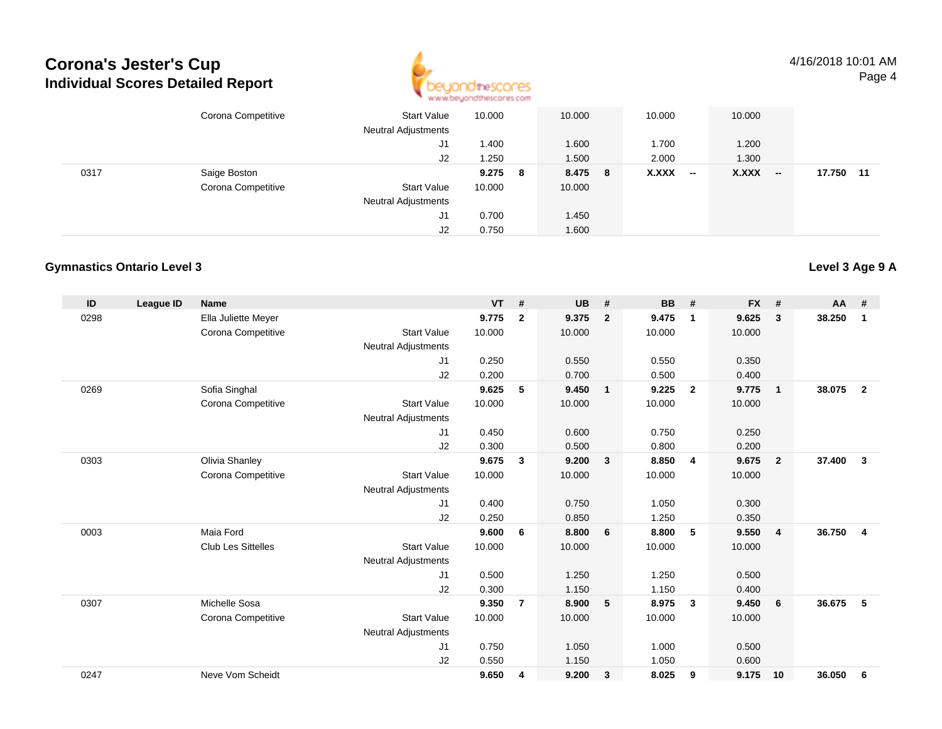

4/16/2018 10:01 AMPage 4

|      | Corona Competitive | <b>Start Value</b><br><b>Neutral Adjustments</b> | 10.000  | 10.000  | 10.000          | 10.000          |              |
|------|--------------------|--------------------------------------------------|---------|---------|-----------------|-----------------|--------------|
|      |                    | J1                                               | .400    | 1.600   | 1.700           | 1.200           |              |
|      |                    | J2                                               | .250    | 1.500   | 2.000           | 1.300           |              |
| 0317 | Saige Boston       |                                                  | 9.275 8 | 8.475 8 | X.XXX<br>$\sim$ | X.XXX<br>$\sim$ | 17.750<br>11 |
|      | Corona Competitive | <b>Start Value</b>                               | 10.000  | 10.000  |                 |                 |              |
|      |                    | <b>Neutral Adjustments</b>                       |         |         |                 |                 |              |
|      |                    | J1                                               | 0.700   | 1.450   |                 |                 |              |
|      |                    | J2                                               | 0.750   | 1.600   |                 |                 |              |

#### **Gymnastics Ontario Level 3**

| ID   | League ID | <b>Name</b>               |                            | <b>VT</b> | #              | <b>UB</b> | #              | <b>BB</b> | #                       | <b>FX</b> | #              | <b>AA</b> | #              |
|------|-----------|---------------------------|----------------------------|-----------|----------------|-----------|----------------|-----------|-------------------------|-----------|----------------|-----------|----------------|
| 0298 |           | Ella Juliette Meyer       |                            | 9.775     | $\overline{2}$ | 9.375     | $\overline{2}$ | 9.475     | $\mathbf 1$             | 9.625     | 3              | 38.250    | 1              |
|      |           | Corona Competitive        | <b>Start Value</b>         | 10.000    |                | 10.000    |                | 10.000    |                         | 10.000    |                |           |                |
|      |           |                           | <b>Neutral Adjustments</b> |           |                |           |                |           |                         |           |                |           |                |
|      |           |                           | J1                         | 0.250     |                | 0.550     |                | 0.550     |                         | 0.350     |                |           |                |
|      |           |                           | J2                         | 0.200     |                | 0.700     |                | 0.500     |                         | 0.400     |                |           |                |
| 0269 |           | Sofia Singhal             |                            | 9.625     | 5              | 9.450     | $\overline{1}$ | 9.225     | $\overline{2}$          | 9.775     | $\mathbf{1}$   | 38.075    | $\overline{2}$ |
|      |           | Corona Competitive        | <b>Start Value</b>         | 10.000    |                | 10.000    |                | 10.000    |                         | 10.000    |                |           |                |
|      |           |                           | <b>Neutral Adjustments</b> |           |                |           |                |           |                         |           |                |           |                |
|      |           |                           | J <sub>1</sub>             | 0.450     |                | 0.600     |                | 0.750     |                         | 0.250     |                |           |                |
|      |           |                           | J2                         | 0.300     |                | 0.500     |                | 0.800     |                         | 0.200     |                |           |                |
| 0303 |           | Olivia Shanley            |                            | 9.675     | 3              | 9.200     | $\mathbf{3}$   | 8.850     | 4                       | 9.675     | $\overline{2}$ | 37.400    | $\mathbf{3}$   |
|      |           | Corona Competitive        | <b>Start Value</b>         | 10.000    |                | 10.000    |                | 10.000    |                         | 10.000    |                |           |                |
|      |           |                           | <b>Neutral Adjustments</b> |           |                |           |                |           |                         |           |                |           |                |
|      |           |                           | J1                         | 0.400     |                | 0.750     |                | 1.050     |                         | 0.300     |                |           |                |
|      |           |                           | J2                         | 0.250     |                | 0.850     |                | 1.250     |                         | 0.350     |                |           |                |
| 0003 |           | Maia Ford                 |                            | 9.600     | 6              | 8.800     | 6              | 8.800     | 5                       | 9.550     | $\overline{4}$ | 36.750    | 4              |
|      |           | <b>Club Les Sittelles</b> | <b>Start Value</b>         | 10.000    |                | 10.000    |                | 10.000    |                         | 10.000    |                |           |                |
|      |           |                           | <b>Neutral Adjustments</b> |           |                |           |                |           |                         |           |                |           |                |
|      |           |                           | J1                         | 0.500     |                | 1.250     |                | 1.250     |                         | 0.500     |                |           |                |
|      |           |                           | J2                         | 0.300     |                | 1.150     |                | 1.150     |                         | 0.400     |                |           |                |
| 0307 |           | Michelle Sosa             |                            | 9.350     | $\overline{7}$ | 8.900     | 5              | 8.975     | $\overline{\mathbf{3}}$ | 9.450     | 6              | 36.675    | 5              |
|      |           | Corona Competitive        | <b>Start Value</b>         | 10.000    |                | 10.000    |                | 10.000    |                         | 10.000    |                |           |                |
|      |           |                           | <b>Neutral Adjustments</b> |           |                |           |                |           |                         |           |                |           |                |
|      |           |                           | J <sub>1</sub>             | 0.750     |                | 1.050     |                | 1.000     |                         | 0.500     |                |           |                |
|      |           |                           | J2                         | 0.550     |                | 1.150     |                | 1.050     |                         | 0.600     |                |           |                |
| 0247 |           | Neve Vom Scheidt          |                            | 9.650     | 4              | 9.200     | $\mathbf{3}$   | 8.025     | 9                       | 9.175     | 10             | 36.050    | 6              |
|      |           |                           |                            |           |                |           |                |           |                         |           |                |           |                |

### **Level 3 Age 9 A**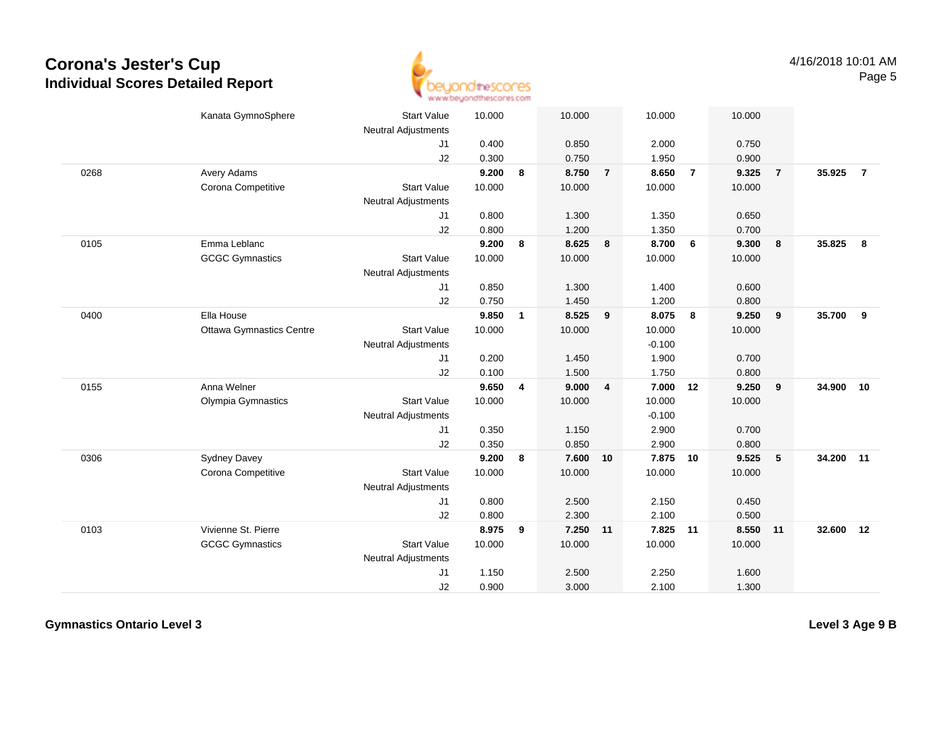

|      | Kanata GymnoSphere              | <b>Start Value</b><br><b>Neutral Adjustments</b> | 10.000 |              | 10.000   |                         | 10.000   |                | 10.000   |                |        |                |
|------|---------------------------------|--------------------------------------------------|--------|--------------|----------|-------------------------|----------|----------------|----------|----------------|--------|----------------|
|      |                                 | J1                                               | 0.400  |              | 0.850    |                         | 2.000    |                | 0.750    |                |        |                |
|      |                                 | J2                                               | 0.300  |              | 0.750    |                         | 1.950    |                | 0.900    |                |        |                |
| 0268 | Avery Adams                     |                                                  | 9.200  | 8            | 8.750    | $\overline{7}$          | 8.650    | $\overline{7}$ | 9.325    | $\overline{7}$ | 35.925 | $\overline{7}$ |
|      | Corona Competitive              | <b>Start Value</b>                               | 10.000 |              | 10.000   |                         | 10.000   |                | 10.000   |                |        |                |
|      |                                 | <b>Neutral Adjustments</b>                       |        |              |          |                         |          |                |          |                |        |                |
|      |                                 | J1                                               | 0.800  |              | 1.300    |                         | 1.350    |                | 0.650    |                |        |                |
|      |                                 | J2                                               | 0.800  |              | 1.200    |                         | 1.350    |                | 0.700    |                |        |                |
| 0105 | Emma Leblanc                    |                                                  | 9.200  | 8            | 8.625    | 8                       | 8.700    | 6              | 9.300    | 8              | 35.825 | 8              |
|      | <b>GCGC Gymnastics</b>          | <b>Start Value</b>                               | 10.000 |              | 10.000   |                         | 10.000   |                | 10.000   |                |        |                |
|      |                                 | <b>Neutral Adjustments</b>                       |        |              |          |                         |          |                |          |                |        |                |
|      |                                 | J1                                               | 0.850  |              | 1.300    |                         | 1.400    |                | 0.600    |                |        |                |
|      |                                 | J2                                               | 0.750  |              | 1.450    |                         | 1.200    |                | 0.800    |                |        |                |
| 0400 | Ella House                      |                                                  | 9.850  | $\mathbf{1}$ | 8.525    | 9                       | 8.075    | 8              | 9.250    | 9              | 35.700 | 9              |
|      | <b>Ottawa Gymnastics Centre</b> | <b>Start Value</b>                               | 10.000 |              | 10.000   |                         | 10.000   |                | 10.000   |                |        |                |
|      |                                 | <b>Neutral Adjustments</b>                       |        |              |          |                         | $-0.100$ |                |          |                |        |                |
|      |                                 | J1                                               | 0.200  |              | 1.450    |                         | 1.900    |                | 0.700    |                |        |                |
|      |                                 | J2                                               | 0.100  |              | 1.500    |                         | 1.750    |                | 0.800    |                |        |                |
| 0155 | Anna Welner                     |                                                  | 9.650  | 4            | 9.000    | $\overline{\mathbf{4}}$ | 7.000    | 12             | 9.250    | 9              | 34.900 | 10             |
|      | Olympia Gymnastics              | <b>Start Value</b>                               | 10.000 |              | 10.000   |                         | 10.000   |                | 10.000   |                |        |                |
|      |                                 | <b>Neutral Adjustments</b>                       |        |              |          |                         | $-0.100$ |                |          |                |        |                |
|      |                                 | J1                                               | 0.350  |              | 1.150    |                         | 2.900    |                | 0.700    |                |        |                |
|      |                                 | J2                                               | 0.350  |              | 0.850    |                         | 2.900    |                | 0.800    |                |        |                |
| 0306 | <b>Sydney Davey</b>             |                                                  | 9.200  | 8            | 7.600    | 10                      | 7.875    | 10             | 9.525    | $5\phantom{1}$ | 34.200 | 11             |
|      | Corona Competitive              | <b>Start Value</b>                               | 10.000 |              | 10.000   |                         | 10.000   |                | 10.000   |                |        |                |
|      |                                 | <b>Neutral Adjustments</b>                       |        |              |          |                         |          |                |          |                |        |                |
|      |                                 | J1                                               | 0.800  |              | 2.500    |                         | 2.150    |                | 0.450    |                |        |                |
|      |                                 | J2                                               | 0.800  |              | 2.300    |                         | 2.100    |                | 0.500    |                |        |                |
| 0103 | Vivienne St. Pierre             |                                                  | 8.975  | 9            | 7.250 11 |                         | 7.825    | 11             | 8.550 11 |                | 32.600 | 12             |
|      | <b>GCGC Gymnastics</b>          | <b>Start Value</b>                               | 10.000 |              | 10.000   |                         | 10.000   |                | 10.000   |                |        |                |
|      |                                 | <b>Neutral Adjustments</b>                       |        |              |          |                         |          |                |          |                |        |                |
|      |                                 | J1                                               | 1.150  |              | 2.500    |                         | 2.250    |                | 1.600    |                |        |                |
|      |                                 | J2                                               | 0.900  |              | 3.000    |                         | 2.100    |                | 1.300    |                |        |                |

**Gymnastics Ontario Level 3**

**Level 3 Age 9 B**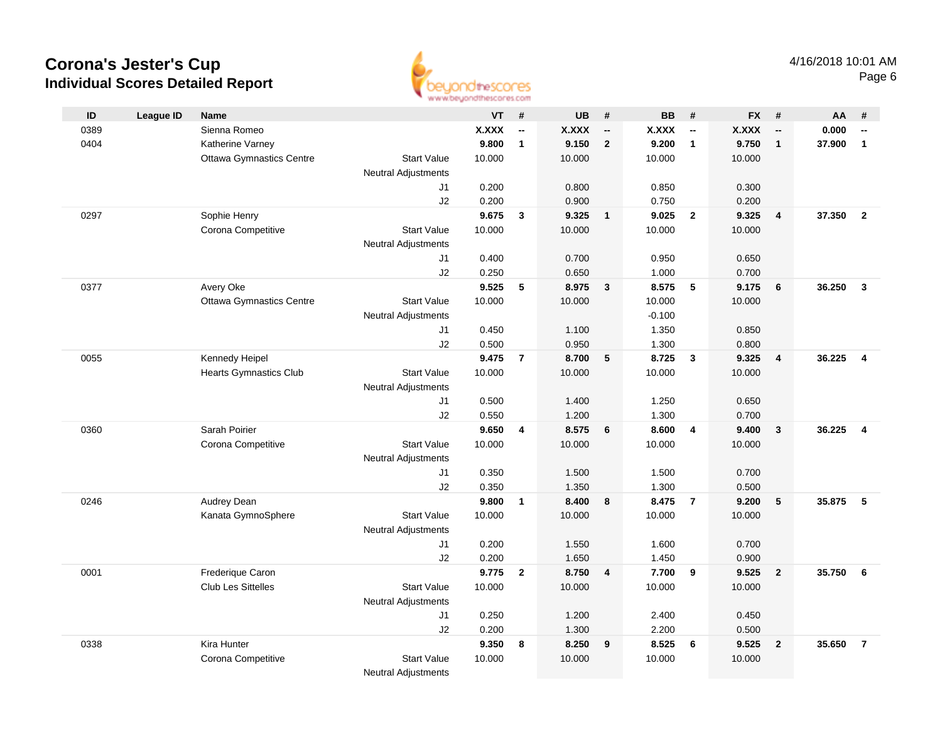

| ID   | <b>League ID</b> | <b>Name</b>                     |                            | <b>VT</b>    | #                        | <b>UB</b>    | #                        | <b>BB</b>    | #                        | FX #         |                          | AA     | #                        |
|------|------------------|---------------------------------|----------------------------|--------------|--------------------------|--------------|--------------------------|--------------|--------------------------|--------------|--------------------------|--------|--------------------------|
| 0389 |                  | Sienna Romeo                    |                            | <b>X.XXX</b> | $\overline{\phantom{a}}$ | <b>X.XXX</b> | $\overline{\phantom{a}}$ | <b>X.XXX</b> | $\overline{\phantom{a}}$ | <b>X.XXX</b> | $\overline{\phantom{a}}$ | 0.000  | $\overline{\phantom{a}}$ |
| 0404 |                  | Katherine Varney                |                            | 9.800        | $\mathbf{1}$             | 9.150        | $\overline{2}$           | 9.200        | $\mathbf{1}$             | 9.750        | $\mathbf{1}$             | 37.900 | $\mathbf{1}$             |
|      |                  | <b>Ottawa Gymnastics Centre</b> | <b>Start Value</b>         | 10.000       |                          | 10.000       |                          | 10.000       |                          | 10.000       |                          |        |                          |
|      |                  |                                 | <b>Neutral Adjustments</b> |              |                          |              |                          |              |                          |              |                          |        |                          |
|      |                  |                                 | J1                         | 0.200        |                          | 0.800        |                          | 0.850        |                          | 0.300        |                          |        |                          |
|      |                  |                                 | J2                         | 0.200        |                          | 0.900        |                          | 0.750        |                          | 0.200        |                          |        |                          |
| 0297 |                  | Sophie Henry                    |                            | 9.675        | $\mathbf{3}$             | 9.325        | $\overline{\mathbf{1}}$  | 9.025        | $\overline{\mathbf{2}}$  | 9.325        | $\overline{4}$           | 37.350 | $\overline{2}$           |
|      |                  | Corona Competitive              | <b>Start Value</b>         | 10.000       |                          | 10.000       |                          | 10.000       |                          | 10.000       |                          |        |                          |
|      |                  |                                 | <b>Neutral Adjustments</b> |              |                          |              |                          |              |                          |              |                          |        |                          |
|      |                  |                                 | J1                         | 0.400        |                          | 0.700        |                          | 0.950        |                          | 0.650        |                          |        |                          |
|      |                  |                                 | J2                         | 0.250        |                          | 0.650        |                          | 1.000        |                          | 0.700        |                          |        |                          |
| 0377 |                  | Avery Oke                       |                            | 9.525        | 5                        | 8.975        | $\mathbf{3}$             | 8.575        | -5                       | 9.175        | 6                        | 36.250 | $\mathbf{3}$             |
|      |                  | <b>Ottawa Gymnastics Centre</b> | <b>Start Value</b>         | 10.000       |                          | 10.000       |                          | 10.000       |                          | 10.000       |                          |        |                          |
|      |                  |                                 | <b>Neutral Adjustments</b> |              |                          |              |                          | $-0.100$     |                          |              |                          |        |                          |
|      |                  |                                 | J1                         | 0.450        |                          | 1.100        |                          | 1.350        |                          | 0.850        |                          |        |                          |
|      |                  |                                 | J2                         | 0.500        |                          | 0.950        |                          | 1.300        |                          | 0.800        |                          |        |                          |
| 0055 |                  | Kennedy Heipel                  |                            | 9.475        | $\overline{7}$           | 8.700        | 5                        | 8.725        | $\overline{\mathbf{3}}$  | 9.325        | $\overline{4}$           | 36.225 | $\overline{4}$           |
|      |                  | <b>Hearts Gymnastics Club</b>   | <b>Start Value</b>         | 10.000       |                          | 10.000       |                          | 10.000       |                          | 10.000       |                          |        |                          |
|      |                  |                                 | <b>Neutral Adjustments</b> |              |                          |              |                          |              |                          |              |                          |        |                          |
|      |                  |                                 | J1                         | 0.500        |                          | 1.400        |                          | 1.250        |                          | 0.650        |                          |        |                          |
|      |                  |                                 | J2                         | 0.550        |                          | 1.200        |                          | 1.300        |                          | 0.700        |                          |        |                          |
| 0360 |                  | Sarah Poirier                   |                            | 9.650        | $\overline{\mathbf{4}}$  | 8.575        | 6                        | 8.600        | $\overline{4}$           | 9.400        | $\mathbf{3}$             | 36.225 | $\overline{\mathbf{4}}$  |
|      |                  | Corona Competitive              | <b>Start Value</b>         | 10.000       |                          | 10.000       |                          | 10.000       |                          | 10.000       |                          |        |                          |
|      |                  |                                 | <b>Neutral Adjustments</b> |              |                          |              |                          |              |                          |              |                          |        |                          |
|      |                  |                                 | J1                         | 0.350        |                          | 1.500        |                          | 1.500        |                          | 0.700        |                          |        |                          |
|      |                  |                                 | J2                         | 0.350        |                          | 1.350        |                          | 1.300        |                          | 0.500        |                          |        |                          |
| 0246 |                  | Audrey Dean                     |                            | 9.800        | $\mathbf{1}$             | 8.400        | 8                        | 8.475        | $\overline{7}$           | 9.200        | 5                        | 35.875 | 5                        |
|      |                  | Kanata GymnoSphere              | <b>Start Value</b>         | 10.000       |                          | 10.000       |                          | 10.000       |                          | 10.000       |                          |        |                          |
|      |                  |                                 | <b>Neutral Adjustments</b> |              |                          |              |                          |              |                          |              |                          |        |                          |
|      |                  |                                 | J1                         | 0.200        |                          | 1.550        |                          | 1.600        |                          | 0.700        |                          |        |                          |
|      |                  |                                 | J2                         | 0.200        |                          | 1.650        |                          | 1.450        |                          | 0.900        |                          |        |                          |
| 0001 |                  | Frederique Caron                |                            | 9.775        | $\overline{2}$           | 8.750        | $\overline{4}$           | 7.700        | 9                        | 9.525        | $\overline{2}$           | 35.750 | 6                        |
|      |                  | <b>Club Les Sittelles</b>       | <b>Start Value</b>         | 10.000       |                          | 10.000       |                          | 10.000       |                          | 10.000       |                          |        |                          |
|      |                  |                                 | <b>Neutral Adjustments</b> |              |                          |              |                          |              |                          |              |                          |        |                          |
|      |                  |                                 | J1                         | 0.250        |                          | 1.200        |                          | 2.400        |                          | 0.450        |                          |        |                          |
|      |                  |                                 | J2                         | 0.200        |                          | 1.300        |                          | 2.200        |                          | 0.500        |                          |        |                          |
| 0338 |                  | Kira Hunter                     |                            | 9.350        | 8                        | 8.250        | 9                        | 8.525        | 6                        | 9.525        | $\mathbf{2}$             | 35.650 | $\overline{7}$           |
|      |                  | Corona Competitive              | <b>Start Value</b>         | 10.000       |                          | 10.000       |                          | 10.000       |                          | 10.000       |                          |        |                          |
|      |                  |                                 | <b>Neutral Adjustments</b> |              |                          |              |                          |              |                          |              |                          |        |                          |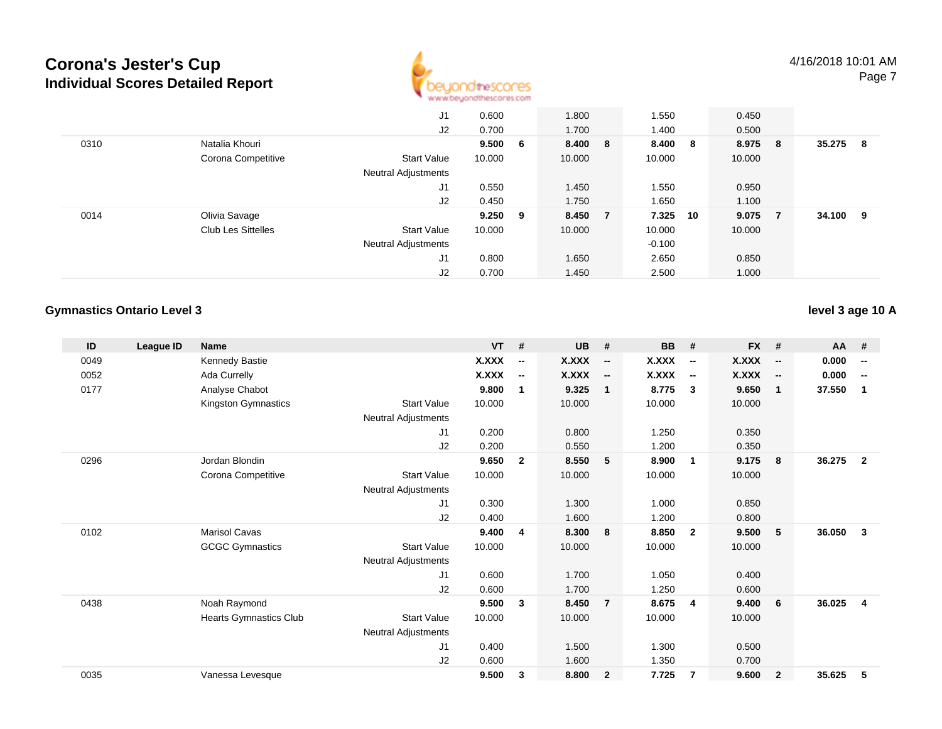

|      |                           | J1                         | 0.600     | 1.800   | 1.550    | 0.450  |     |        |    |
|------|---------------------------|----------------------------|-----------|---------|----------|--------|-----|--------|----|
|      |                           | J2                         | 0.700     | 1.700   | 1.400    | 0.500  |     |        |    |
| 0310 | Natalia Khouri            |                            | 9.500 6   | 8.400 8 | 8.400 8  | 8.975  | - 8 | 35.275 | -8 |
|      | Corona Competitive        | <b>Start Value</b>         | 10.000    | 10.000  | 10.000   | 10.000 |     |        |    |
|      |                           | <b>Neutral Adjustments</b> |           |         |          |        |     |        |    |
|      |                           | J1                         | 0.550     | 1.450   | 1.550    | 0.950  |     |        |    |
|      |                           | J2                         | 0.450     | 1.750   | 1.650    | 1.100  |     |        |    |
| 0014 | Olivia Savage             |                            | $9.250$ 9 | 8.450 7 | 7.325 10 | 9.075  | - 7 | 34.100 | 9  |
|      | <b>Club Les Sittelles</b> | <b>Start Value</b>         | 10.000    | 10.000  | 10.000   | 10.000 |     |        |    |
|      |                           | <b>Neutral Adjustments</b> |           |         | $-0.100$ |        |     |        |    |
|      |                           | J1                         | 0.800     | 1.650   | 2.650    | 0.850  |     |        |    |
|      |                           | J2                         | 0.700     | 1.450   | 2.500    | 1.000  |     |        |    |

### **Gymnastics Ontario Level 3**

**level 3 age 10 A**

| ID   | League ID | <b>Name</b>                   |                            | <b>VT</b>    | #                        | <b>UB</b> | #                        | <b>BB</b>    | #                        | <b>FX</b> | #                        | AA #   |                          |
|------|-----------|-------------------------------|----------------------------|--------------|--------------------------|-----------|--------------------------|--------------|--------------------------|-----------|--------------------------|--------|--------------------------|
| 0049 |           | Kennedy Bastie                |                            | X.XXX        | $\overline{\phantom{a}}$ | X.XXX     | $\overline{\phantom{a}}$ | X.XXX        | $\overline{\phantom{a}}$ | X.XXX     | $\overline{\phantom{a}}$ | 0.000  | $\overline{\phantom{a}}$ |
| 0052 |           | Ada Currelly                  |                            | <b>X.XXX</b> | $\overline{\phantom{a}}$ | X.XXX     | $\overline{\phantom{a}}$ | <b>X.XXX</b> | $\overline{\phantom{a}}$ | X.XXX     | $\overline{\phantom{a}}$ | 0.000  | $\overline{\phantom{a}}$ |
| 0177 |           | Analyse Chabot                |                            | 9.800        | $\mathbf 1$              | 9.325     | $\overline{1}$           | 8.775        | 3                        | 9.650     | $\mathbf{1}$             | 37.550 | 1                        |
|      |           | Kingston Gymnastics           | <b>Start Value</b>         | 10.000       |                          | 10.000    |                          | 10.000       |                          | 10.000    |                          |        |                          |
|      |           |                               | Neutral Adjustments        |              |                          |           |                          |              |                          |           |                          |        |                          |
|      |           |                               | J1                         | 0.200        |                          | 0.800     |                          | 1.250        |                          | 0.350     |                          |        |                          |
|      |           |                               | J <sub>2</sub>             | 0.200        |                          | 0.550     |                          | 1.200        |                          | 0.350     |                          |        |                          |
| 0296 |           | Jordan Blondin                |                            | 9.650        | $\mathbf{2}$             | 8.550     | - 5                      | 8.900        | $\mathbf 1$              | 9.175     | 8                        | 36.275 | $\overline{2}$           |
|      |           | Corona Competitive            | <b>Start Value</b>         | 10.000       |                          | 10.000    |                          | 10.000       |                          | 10.000    |                          |        |                          |
|      |           |                               | <b>Neutral Adjustments</b> |              |                          |           |                          |              |                          |           |                          |        |                          |
|      |           |                               | J <sub>1</sub>             | 0.300        |                          | 1.300     |                          | 1.000        |                          | 0.850     |                          |        |                          |
|      |           |                               | J2                         | 0.400        |                          | 1.600     |                          | 1.200        |                          | 0.800     |                          |        |                          |
| 0102 |           | <b>Marisol Cavas</b>          |                            | 9.400        | 4                        | 8.300     | 8                        | 8.850        | $\overline{\mathbf{2}}$  | 9.500     | 5                        | 36.050 | 3                        |
|      |           | <b>GCGC Gymnastics</b>        | <b>Start Value</b>         | 10.000       |                          | 10.000    |                          | 10.000       |                          | 10.000    |                          |        |                          |
|      |           |                               | <b>Neutral Adjustments</b> |              |                          |           |                          |              |                          |           |                          |        |                          |
|      |           |                               | J <sub>1</sub>             | 0.600        |                          | 1.700     |                          | 1.050        |                          | 0.400     |                          |        |                          |
|      |           |                               | J <sub>2</sub>             | 0.600        |                          | 1.700     |                          | 1.250        |                          | 0.600     |                          |        |                          |
| 0438 |           | Noah Raymond                  |                            | 9.500        | 3                        | 8.450     | $\overline{7}$           | 8.675        | $\overline{4}$           | 9.400     | 6                        | 36.025 | 4                        |
|      |           | <b>Hearts Gymnastics Club</b> | <b>Start Value</b>         | 10.000       |                          | 10.000    |                          | 10.000       |                          | 10.000    |                          |        |                          |
|      |           |                               | Neutral Adjustments        |              |                          |           |                          |              |                          |           |                          |        |                          |
|      |           |                               | J <sub>1</sub>             | 0.400        |                          | 1.500     |                          | 1.300        |                          | 0.500     |                          |        |                          |
|      |           |                               | J2                         | 0.600        |                          | 1.600     |                          | 1.350        |                          | 0.700     |                          |        |                          |
| 0035 |           | Vanessa Levesque              |                            | 9.500        | 3                        | 8.800     | $\overline{2}$           | 7.725        | $\overline{7}$           | 9.600     | $\mathbf{2}$             | 35.625 | 5                        |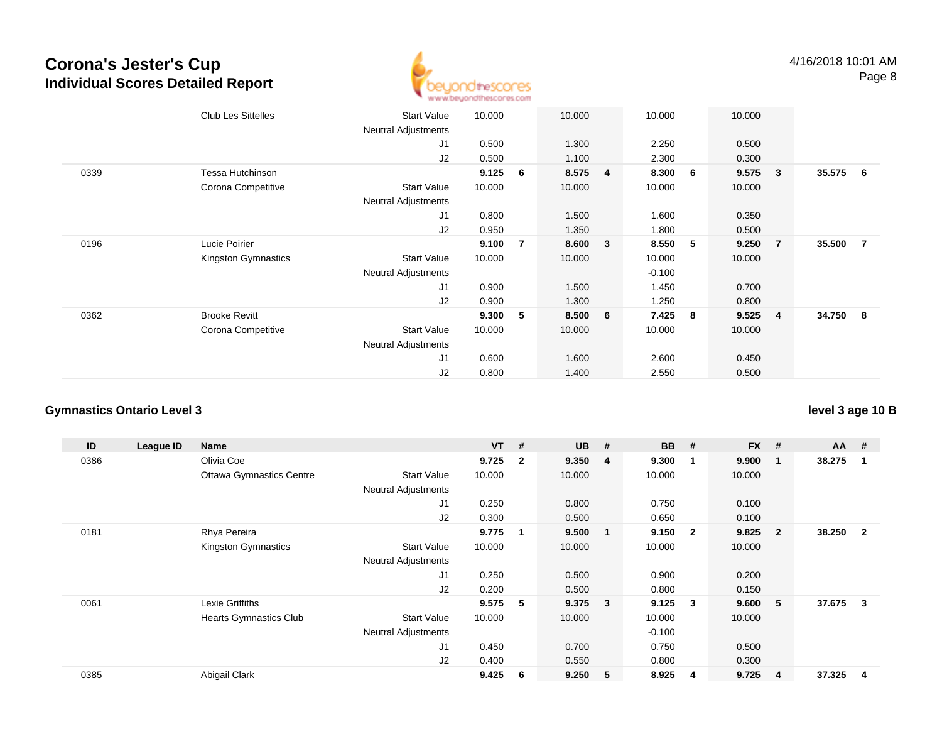

|      | <b>Club Les Sittelles</b> | <b>Start Value</b><br>Neutral Adjustments | 10.000 |                | 10.000 |                | 10.000   |    | 10.000 |                |          |  |
|------|---------------------------|-------------------------------------------|--------|----------------|--------|----------------|----------|----|--------|----------------|----------|--|
|      |                           | J1                                        | 0.500  |                | 1.300  |                | 2.250    |    | 0.500  |                |          |  |
|      |                           | J2                                        | 0.500  |                | 1.100  |                | 2.300    |    | 0.300  |                |          |  |
| 0339 | Tessa Hutchinson          |                                           | 9.125  | 6              | 8.575  | $\overline{4}$ | 8.300    | -6 | 9.575  | $\mathbf{3}$   | 35.575 6 |  |
|      | Corona Competitive        | <b>Start Value</b>                        | 10.000 |                | 10.000 |                | 10.000   |    | 10.000 |                |          |  |
|      |                           | <b>Neutral Adjustments</b>                |        |                |        |                |          |    |        |                |          |  |
|      |                           | J1                                        | 0.800  |                | 1.500  |                | 1.600    |    | 0.350  |                |          |  |
|      |                           | J2                                        | 0.950  |                | 1.350  |                | 1.800    |    | 0.500  |                |          |  |
| 0196 | Lucie Poirier             |                                           | 9.100  | $\overline{7}$ | 8.600  | 3              | 8.550    | 5  | 9.250  | $\overline{7}$ | 35.500 7 |  |
|      | Kingston Gymnastics       | <b>Start Value</b>                        | 10.000 |                | 10.000 |                | 10.000   |    | 10.000 |                |          |  |
|      |                           | <b>Neutral Adjustments</b>                |        |                |        |                | $-0.100$ |    |        |                |          |  |
|      |                           | J1                                        | 0.900  |                | 1.500  |                | 1.450    |    | 0.700  |                |          |  |
|      |                           | J2                                        | 0.900  |                | 1.300  |                | 1.250    |    | 0.800  |                |          |  |
| 0362 | <b>Brooke Revitt</b>      |                                           | 9.300  | 5              | 8.500  | 6              | 7.425    | 8  | 9.525  | $\overline{4}$ | 34.750 8 |  |
|      | Corona Competitive        | <b>Start Value</b>                        | 10.000 |                | 10.000 |                | 10.000   |    | 10.000 |                |          |  |
|      |                           | <b>Neutral Adjustments</b>                |        |                |        |                |          |    |        |                |          |  |
|      |                           | J1                                        | 0.600  |                | 1.600  |                | 2.600    |    | 0.450  |                |          |  |
|      |                           | J2                                        | 0.800  |                | 1.400  |                | 2.550    |    | 0.500  |                |          |  |

#### **Gymnastics Ontario Level 3**

**ID League ID Name VT # UB # BB # FX # AA #** 0386 Olivia Coe **9.725 <sup>2</sup> 9.350 <sup>4</sup> 9.300 <sup>1</sup> 9.900 <sup>1</sup> 38.275 <sup>1</sup>** Ottawa Gymnastics Centre Start Value 10.000 10.000 10.000 10.000 Neutral Adjustments J1 0.250 0.800 0.750 0.100 J2 0.300 0.500 0.650 0.100 0181 Rhya Pereira **9.775 <sup>1</sup> 9.500 <sup>1</sup> 9.150 <sup>2</sup> 9.825 <sup>2</sup> 38.250 <sup>2</sup>** Kingston Gymnastics Start Valuee 10.000 10.000 10.000 10.000 Neutral Adjustments J1 0.250 0.500 0.900 0.200 J2 0.200 0.500 0.800 0.150 0061 Lexie Griffiths **9.575 <sup>5</sup> 9.375 <sup>3</sup> 9.125 <sup>3</sup> 9.600 <sup>5</sup> 37.675 <sup>3</sup>** Hearts Gymnastics Club Start Value 10.000 10.000 10.000 10.000 Neutral Adjustments $-0.100$ 0.750 J1 0.450 0.700 0.750 0.500 J2 0.400 0.550 0.800 0.300 0385Abigail Clark **9.425 <sup>6</sup> 9.250 <sup>5</sup> 8.925 <sup>4</sup> 9.725 <sup>4</sup> 37.325 <sup>4</sup>**

**level 3 age 10 B**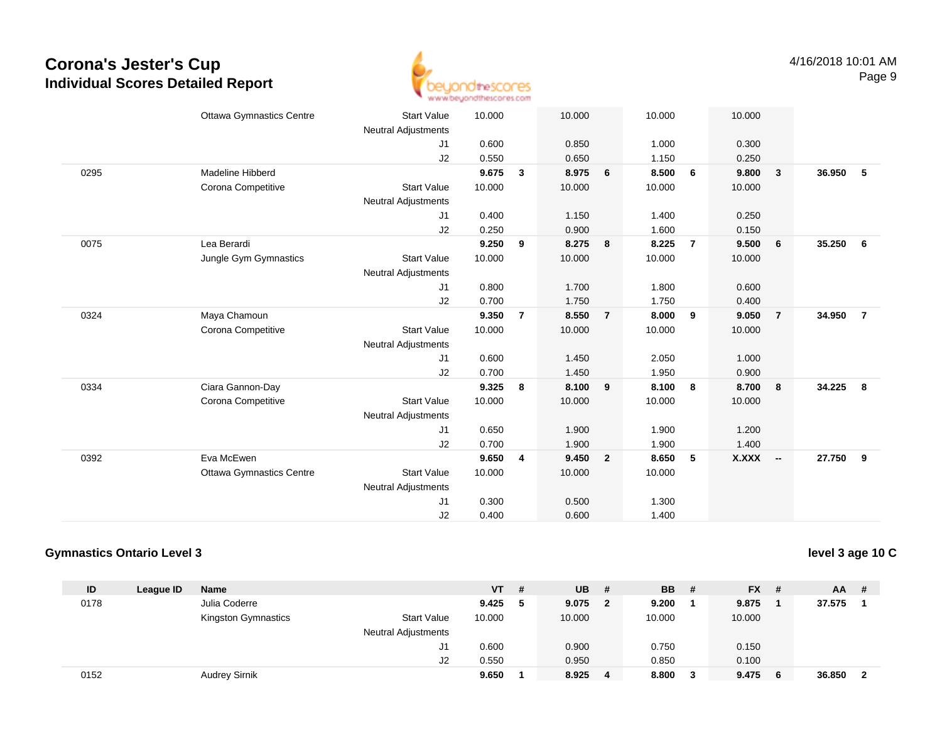

|      | <b>Ottawa Gymnastics Centre</b> | <b>Start Value</b>               | 10.000 |                | 10.000 |                | 10.000         |                | 10.000 |                         |        |                |
|------|---------------------------------|----------------------------------|--------|----------------|--------|----------------|----------------|----------------|--------|-------------------------|--------|----------------|
|      |                                 | <b>Neutral Adjustments</b><br>J1 | 0.600  |                | 0.850  |                | 1.000          |                | 0.300  |                         |        |                |
|      |                                 | J2                               | 0.550  |                | 0.650  |                | 1.150          |                | 0.250  |                         |        |                |
| 0295 | Madeline Hibberd                |                                  | 9.675  | 3              | 8.975  | 6              | 8.500          | 6              | 9.800  | $\overline{\mathbf{3}}$ | 36.950 | 5              |
|      | Corona Competitive              | <b>Start Value</b>               | 10.000 |                | 10.000 |                | 10.000         |                | 10.000 |                         |        |                |
|      |                                 | <b>Neutral Adjustments</b>       |        |                |        |                |                |                |        |                         |        |                |
|      |                                 | J <sub>1</sub>                   | 0.400  |                | 1.150  |                | 1.400          |                | 0.250  |                         |        |                |
|      |                                 | J2                               | 0.250  |                | 0.900  |                | 1.600          |                | 0.150  |                         |        |                |
| 0075 | Lea Berardi                     |                                  | 9.250  | 9              | 8.275  | 8              | 8.225          | $\overline{7}$ | 9.500  | 6                       | 35.250 | 6              |
|      | Jungle Gym Gymnastics           | <b>Start Value</b>               | 10.000 |                | 10.000 |                | 10.000         |                | 10.000 |                         |        |                |
|      |                                 | <b>Neutral Adjustments</b>       |        |                |        |                |                |                |        |                         |        |                |
|      |                                 | J <sub>1</sub>                   | 0.800  |                | 1.700  |                | 1.800          |                | 0.600  |                         |        |                |
|      |                                 | J <sub>2</sub>                   | 0.700  |                | 1.750  |                | 1.750          |                | 0.400  |                         |        |                |
| 0324 | Maya Chamoun                    |                                  | 9.350  | $\overline{7}$ | 8.550  | $\overline{7}$ | 8.000          | 9              | 9.050  | $\overline{7}$          | 34.950 | $\overline{7}$ |
|      | Corona Competitive              | <b>Start Value</b>               | 10.000 |                | 10.000 |                | 10.000         |                | 10.000 |                         |        |                |
|      |                                 | <b>Neutral Adjustments</b>       |        |                |        |                |                |                |        |                         |        |                |
|      |                                 | J1                               | 0.600  |                | 1.450  |                | 2.050          |                | 1.000  |                         |        |                |
|      |                                 | J2                               | 0.700  |                | 1.450  |                | 1.950          |                | 0.900  |                         |        |                |
| 0334 | Ciara Gannon-Day                |                                  | 9.325  | 8              | 8.100  | 9              | 8.100          | 8              | 8.700  | 8                       | 34.225 | 8              |
|      | Corona Competitive              | <b>Start Value</b>               | 10.000 |                | 10.000 |                | 10.000         |                | 10.000 |                         |        |                |
|      |                                 |                                  |        |                |        |                |                |                |        |                         |        |                |
|      |                                 | <b>Neutral Adjustments</b>       | 0.650  |                | 1.900  |                |                |                | 1.200  |                         |        |                |
|      |                                 | J1                               | 0.700  |                | 1.900  |                | 1.900<br>1.900 |                | 1.400  |                         |        |                |
| 0392 | Eva McEwen                      | J2                               | 9.650  |                | 9.450  | $\overline{2}$ | 8.650          |                | X.XXX  |                         | 27.750 | - 9            |
|      |                                 | <b>Start Value</b>               |        | 4              |        |                |                | 5              |        | - -                     |        |                |
|      | <b>Ottawa Gymnastics Centre</b> |                                  | 10.000 |                | 10.000 |                | 10.000         |                |        |                         |        |                |
|      |                                 | <b>Neutral Adjustments</b>       |        |                |        |                |                |                |        |                         |        |                |
|      |                                 | J <sub>1</sub>                   | 0.300  |                | 0.500  |                | 1.300          |                |        |                         |        |                |
|      |                                 | J2                               | 0.400  |                | 0.600  |                | 1.400          |                |        |                         |        |                |

### **Gymnastics Ontario Level 3**

**level 3 age 10 C**

| ID   | League ID | <b>Name</b>          |                     | <b>VT</b> | # | UB.    | #            | <b>BB</b> | - # | <b>FX</b> | - # | AA     | -# |
|------|-----------|----------------------|---------------------|-----------|---|--------|--------------|-----------|-----|-----------|-----|--------|----|
| 0178 |           | Julia Coderre        |                     | 9.425     |   | 9.075  | $\mathbf{2}$ | 9.200     |     | 9.875     |     | 37.575 |    |
|      |           | Kingston Gymnastics  | <b>Start Value</b>  | 10.000    |   | 10.000 |              | 10.000    |     | 10.000    |     |        |    |
|      |           |                      | Neutral Adjustments |           |   |        |              |           |     |           |     |        |    |
|      |           |                      | J1                  | 0.600     |   | 0.900  |              | 0.750     |     | 0.150     |     |        |    |
|      |           |                      | J2                  | 0.550     |   | 0.950  |              | 0.850     |     | 0.100     |     |        |    |
| 0152 |           | <b>Audrey Sirnik</b> |                     | 9.650     |   | 8.925  | 4            | 8.800     | 3   | 9.475     | - 6 | 36.850 |    |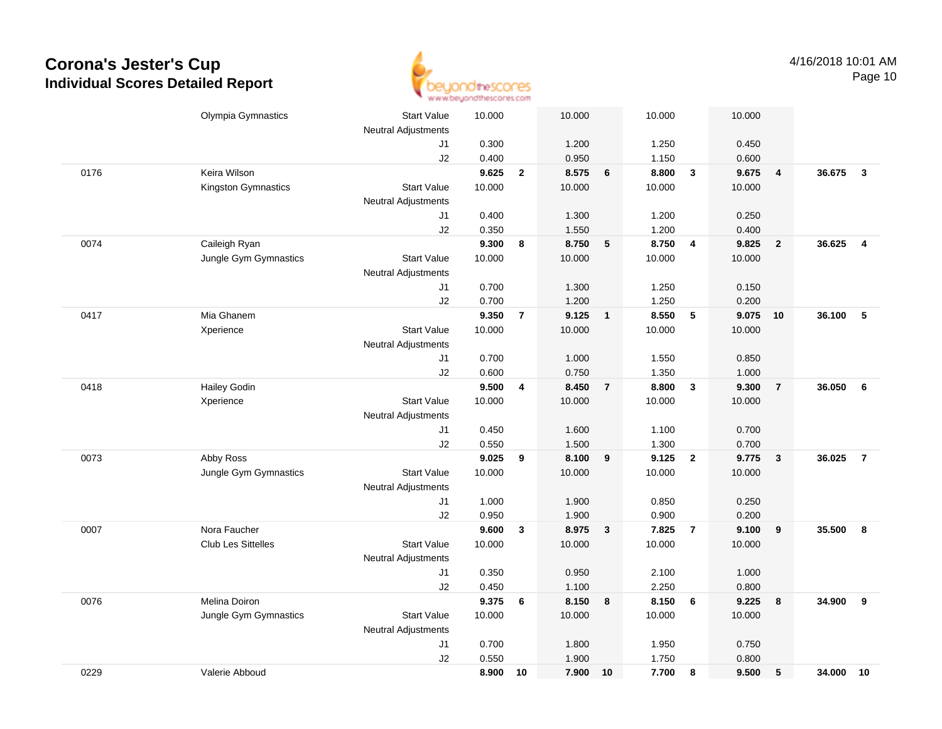

|      | Olympia Gymnastics    | <b>Start Value</b>         | 10.000          |                | 10.000          |                 | 10.000          |                         | 10.000 |                         |        |                         |
|------|-----------------------|----------------------------|-----------------|----------------|-----------------|-----------------|-----------------|-------------------------|--------|-------------------------|--------|-------------------------|
|      |                       | <b>Neutral Adjustments</b> |                 |                |                 |                 |                 |                         |        |                         |        |                         |
|      |                       | J1                         | 0.300           |                | 1.200           |                 | 1.250           |                         | 0.450  |                         |        |                         |
|      |                       | J2                         | 0.400           |                | 0.950           |                 | 1.150           |                         | 0.600  |                         |        |                         |
| 0176 | Keira Wilson          |                            | 9.625           | $\overline{2}$ | 8.575           | $6\phantom{1}6$ | 8.800           | $\overline{\mathbf{3}}$ | 9.675  | $\overline{\mathbf{4}}$ | 36.675 | $\mathbf{3}$            |
|      | Kingston Gymnastics   | <b>Start Value</b>         | 10.000          |                | 10.000          |                 | 10.000          |                         | 10.000 |                         |        |                         |
|      |                       | <b>Neutral Adjustments</b> |                 |                |                 |                 |                 |                         |        |                         |        |                         |
|      |                       | J1                         | 0.400           |                | 1.300           |                 | 1.200           |                         | 0.250  |                         |        |                         |
|      |                       | J2                         | 0.350           |                | 1.550           |                 | 1.200           |                         | 0.400  |                         |        |                         |
| 0074 | Caileigh Ryan         |                            | 9.300           | 8              | 8.750           | 5               | 8.750           | $\overline{\mathbf{4}}$ | 9.825  | $\overline{2}$          | 36.625 | $\overline{\mathbf{4}}$ |
|      | Jungle Gym Gymnastics | <b>Start Value</b>         | 10.000          |                | 10.000          |                 | 10.000          |                         | 10.000 |                         |        |                         |
|      |                       | Neutral Adjustments        |                 |                |                 |                 |                 |                         |        |                         |        |                         |
|      |                       | J1                         | 0.700           |                | 1.300           |                 | 1.250           |                         | 0.150  |                         |        |                         |
|      |                       | J2                         | 0.700           |                | 1.200           |                 | 1.250           |                         | 0.200  |                         |        |                         |
| 0417 | Mia Ghanem            |                            | 9.350           | $\overline{7}$ | 9.125           | $\blacksquare$  | 8.550           | $\sqrt{5}$              | 9.075  | 10                      | 36.100 | 5                       |
|      | Xperience             | <b>Start Value</b>         | 10.000          |                | 10.000          |                 | 10.000          |                         | 10.000 |                         |        |                         |
|      |                       | Neutral Adjustments        |                 |                |                 |                 |                 |                         |        |                         |        |                         |
|      |                       | J1                         | 0.700           |                | 1.000           |                 | 1.550           |                         | 0.850  |                         |        |                         |
|      |                       | J2                         | 0.600           |                | 0.750           |                 | 1.350           |                         | 1.000  |                         |        |                         |
| 0418 | <b>Hailey Godin</b>   |                            | 9.500           | 4              | 8.450           | $\overline{7}$  | 8.800           | $\mathbf{3}$            | 9.300  | $\overline{7}$          | 36.050 | 6                       |
|      | Xperience             | <b>Start Value</b>         | 10.000          |                | 10.000          |                 | 10.000          |                         | 10.000 |                         |        |                         |
|      |                       | <b>Neutral Adjustments</b> |                 |                |                 |                 |                 |                         |        |                         |        |                         |
|      |                       | J1                         | 0.450           |                | 1.600           |                 | 1.100           |                         | 0.700  |                         |        |                         |
|      |                       | J2                         | 0.550           |                | 1.500           |                 | 1.300           |                         | 0.700  |                         |        |                         |
| 0073 | Abby Ross             | <b>Start Value</b>         | 9.025<br>10.000 | 9              | 8.100<br>10.000 | 9               | 9.125<br>10.000 | $\overline{2}$          | 9.775  | $\mathbf{3}$            | 36.025 | $\overline{7}$          |
|      | Jungle Gym Gymnastics | Neutral Adjustments        |                 |                |                 |                 |                 |                         | 10.000 |                         |        |                         |
|      |                       | J1                         | 1.000           |                | 1.900           |                 | 0.850           |                         | 0.250  |                         |        |                         |
|      |                       | J2                         | 0.950           |                | 1.900           |                 | 0.900           |                         | 0.200  |                         |        |                         |
| 0007 | Nora Faucher          |                            | 9.600           | $\mathbf{3}$   | 8.975           | $\mathbf{3}$    | 7.825           | $\overline{7}$          | 9.100  | 9                       | 35.500 | 8                       |
|      | Club Les Sittelles    | <b>Start Value</b>         | 10.000          |                | 10.000          |                 | 10.000          |                         | 10.000 |                         |        |                         |
|      |                       | Neutral Adjustments        |                 |                |                 |                 |                 |                         |        |                         |        |                         |
|      |                       | J1                         | 0.350           |                | 0.950           |                 | 2.100           |                         | 1.000  |                         |        |                         |
|      |                       | J2                         | 0.450           |                | 1.100           |                 | 2.250           |                         | 0.800  |                         |        |                         |
| 0076 | Melina Doiron         |                            | 9.375           | 6              | 8.150           | 8               | 8.150           | 6                       | 9.225  | $\boldsymbol{8}$        | 34.900 | 9                       |
|      | Jungle Gym Gymnastics | <b>Start Value</b>         | 10.000          |                | 10.000          |                 | 10.000          |                         | 10.000 |                         |        |                         |
|      |                       | Neutral Adjustments        |                 |                |                 |                 |                 |                         |        |                         |        |                         |
|      |                       | J1                         | 0.700           |                | 1.800           |                 | 1.950           |                         | 0.750  |                         |        |                         |
|      |                       | J2                         | 0.550           |                | 1.900           |                 | 1.750           |                         | 0.800  |                         |        |                         |
| 0229 | Valerie Abboud        |                            | 8.900           | 10             | 7.900           | 10              | 7.700           | 8                       | 9.500  | 5                       | 34.000 | 10                      |
|      |                       |                            |                 |                |                 |                 |                 |                         |        |                         |        |                         |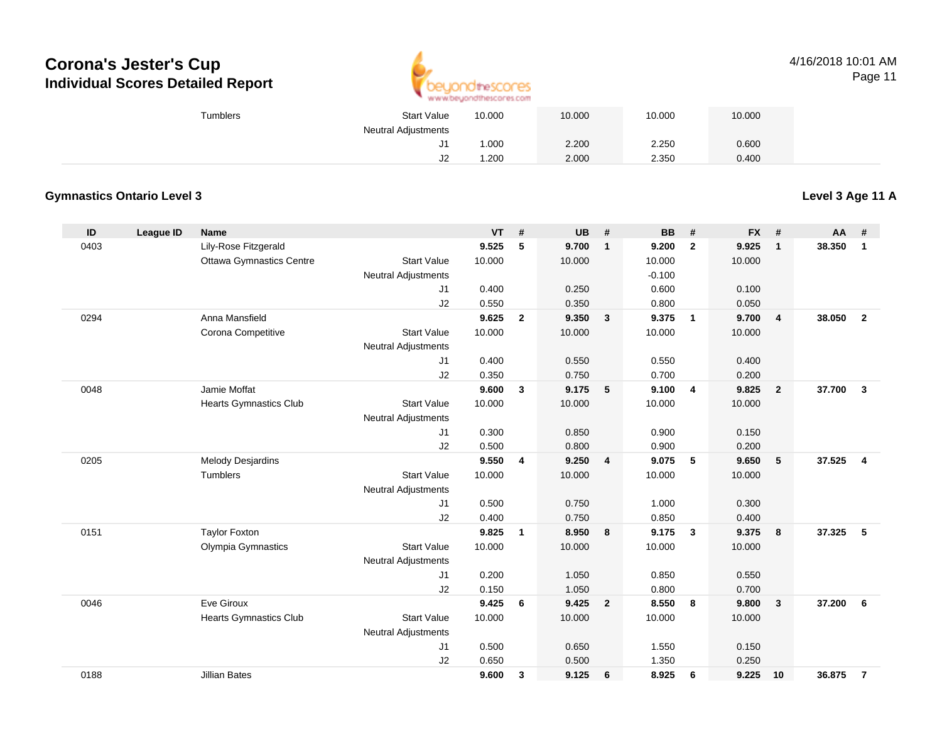

#### 4/16/2018 10:01 AMPage 11

| <b>Start Value</b><br>Tumblers |    | 10.000 | 10.000 | 10.000 | 10.000 |  |
|--------------------------------|----|--------|--------|--------|--------|--|
| <b>Neutral Adjustments</b>     |    |        |        |        |        |  |
|                                | ັ  | .000   | 2.200  | 2.250  | 0.600  |  |
|                                | ےں | .200   | 2.000  | 2.350  | 0.400  |  |

### **Gymnastics Ontario Level 3**

**Level 3 Age 11 A**

| ID   | <b>League ID</b> | Name                            |                            | <b>VT</b> | #              | <b>UB</b> | $\pmb{\#}$     | <b>BB</b> | #                       | <b>FX</b> | #              | AA     | #              |
|------|------------------|---------------------------------|----------------------------|-----------|----------------|-----------|----------------|-----------|-------------------------|-----------|----------------|--------|----------------|
| 0403 |                  | Lily-Rose Fitzgerald            |                            | 9.525     | 5              | 9.700     | $\mathbf{1}$   | 9.200     | $\mathbf{2}$            | 9.925     | $\mathbf{1}$   | 38.350 | $\mathbf{1}$   |
|      |                  | <b>Ottawa Gymnastics Centre</b> | <b>Start Value</b>         | 10.000    |                | 10.000    |                | 10.000    |                         | 10.000    |                |        |                |
|      |                  |                                 | <b>Neutral Adjustments</b> |           |                |           |                | $-0.100$  |                         |           |                |        |                |
|      |                  |                                 | J1                         | 0.400     |                | 0.250     |                | 0.600     |                         | 0.100     |                |        |                |
|      |                  |                                 | J2                         | 0.550     |                | 0.350     |                | 0.800     |                         | 0.050     |                |        |                |
| 0294 |                  | Anna Mansfield                  |                            | 9.625     | $\overline{2}$ | 9.350     | $\mathbf{3}$   | 9.375     | $\overline{\mathbf{1}}$ | 9.700     | $\overline{4}$ | 38.050 | $\overline{2}$ |
|      |                  | Corona Competitive              | <b>Start Value</b>         | 10.000    |                | 10.000    |                | 10.000    |                         | 10.000    |                |        |                |
|      |                  |                                 | <b>Neutral Adjustments</b> |           |                |           |                |           |                         |           |                |        |                |
|      |                  |                                 | J1                         | 0.400     |                | 0.550     |                | 0.550     |                         | 0.400     |                |        |                |
|      |                  |                                 | J2                         | 0.350     |                | 0.750     |                | 0.700     |                         | 0.200     |                |        |                |
| 0048 |                  | Jamie Moffat                    |                            | 9.600     | 3              | 9.175     | 5              | 9.100     | $\overline{\mathbf{4}}$ | 9.825     | $\overline{2}$ | 37.700 | $\mathbf{3}$   |
|      |                  | <b>Hearts Gymnastics Club</b>   | <b>Start Value</b>         | 10.000    |                | 10.000    |                | 10.000    |                         | 10.000    |                |        |                |
|      |                  |                                 | <b>Neutral Adjustments</b> |           |                |           |                |           |                         |           |                |        |                |
|      |                  |                                 | J <sub>1</sub>             | 0.300     |                | 0.850     |                | 0.900     |                         | 0.150     |                |        |                |
|      |                  |                                 | J2                         | 0.500     |                | 0.800     |                | 0.900     |                         | 0.200     |                |        |                |
| 0205 |                  | <b>Melody Desjardins</b>        |                            | 9.550     | 4              | 9.250     | 4              | 9.075     | 5                       | 9.650     | 5              | 37.525 | $\overline{4}$ |
|      |                  | Tumblers                        | <b>Start Value</b>         | 10.000    |                | 10.000    |                | 10.000    |                         | 10.000    |                |        |                |
|      |                  |                                 | <b>Neutral Adjustments</b> |           |                |           |                |           |                         |           |                |        |                |
|      |                  |                                 | J <sub>1</sub>             | 0.500     |                | 0.750     |                | 1.000     |                         | 0.300     |                |        |                |
|      |                  |                                 | J2                         | 0.400     |                | 0.750     |                | 0.850     |                         | 0.400     |                |        |                |
| 0151 |                  | <b>Taylor Foxton</b>            |                            | 9.825     | $\mathbf{1}$   | 8.950     | 8              | 9.175     | $\mathbf{3}$            | 9.375     | 8              | 37.325 | 5              |
|      |                  | Olympia Gymnastics              | <b>Start Value</b>         | 10.000    |                | 10.000    |                | 10.000    |                         | 10.000    |                |        |                |
|      |                  |                                 | <b>Neutral Adjustments</b> |           |                |           |                |           |                         |           |                |        |                |
|      |                  |                                 | J1                         | 0.200     |                | 1.050     |                | 0.850     |                         | 0.550     |                |        |                |
|      |                  |                                 | J2                         | 0.150     |                | 1.050     |                | 0.800     |                         | 0.700     |                |        |                |
| 0046 |                  | Eve Giroux                      |                            | 9.425     | 6              | 9.425     | $\overline{2}$ | 8.550     | 8                       | 9.800     | $\mathbf{3}$   | 37.200 | 6              |
|      |                  | <b>Hearts Gymnastics Club</b>   | <b>Start Value</b>         | 10.000    |                | 10.000    |                | 10.000    |                         | 10.000    |                |        |                |
|      |                  |                                 | <b>Neutral Adjustments</b> |           |                |           |                |           |                         |           |                |        |                |
|      |                  |                                 | J1                         | 0.500     |                | 0.650     |                | 1.550     |                         | 0.150     |                |        |                |
| 0188 |                  | <b>Jillian Bates</b>            | J2                         | 0.650     |                | 0.500     |                | 1.350     |                         | 0.250     |                |        |                |
|      |                  |                                 |                            | 9.600     | 3              | 9.125     | 6              | 8.925     | 6                       | 9.225     | 10             | 36.875 | $\overline{7}$ |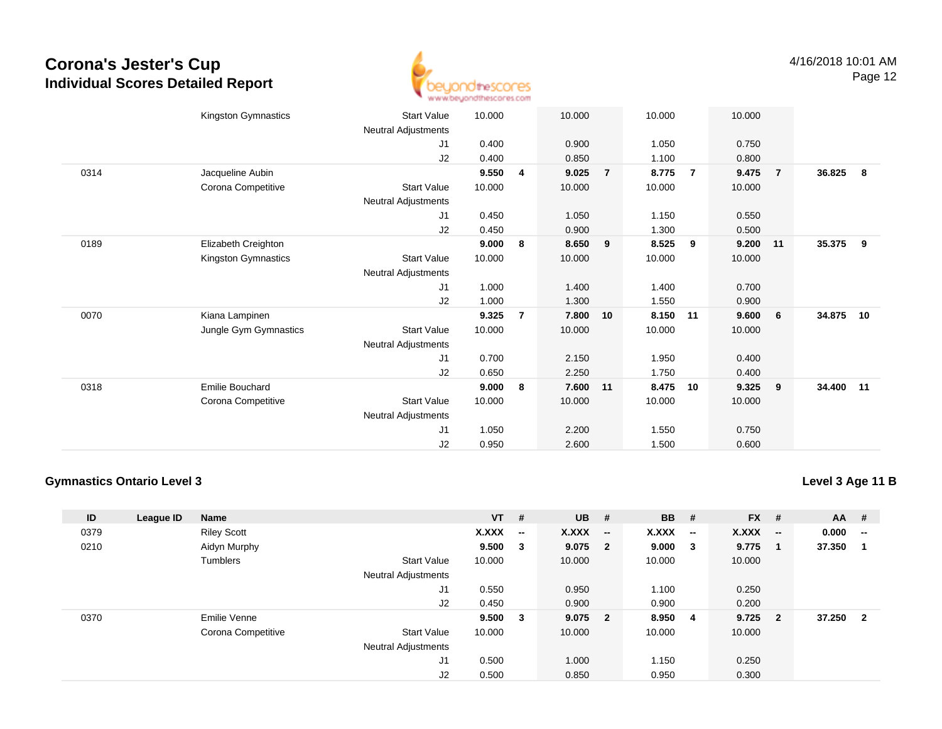

|      | Kingston Gymnastics<br><b>Start Value</b>   | 10.000 |                | 10.000 |                | 10.000   |                | 10.000 |                |        |     |
|------|---------------------------------------------|--------|----------------|--------|----------------|----------|----------------|--------|----------------|--------|-----|
|      | Neutral Adjustments                         |        |                |        |                |          |                |        |                |        |     |
|      | J1                                          | 0.400  |                | 0.900  |                | 1.050    |                | 0.750  |                |        |     |
|      | J2                                          | 0.400  |                | 0.850  |                | 1.100    |                | 0.800  |                |        |     |
| 0314 | Jacqueline Aubin                            | 9.550  | $\overline{4}$ | 9.025  | $\overline{7}$ | 8.775    | $\overline{7}$ | 9.475  | $\overline{7}$ | 36.825 | - 8 |
|      | Corona Competitive<br><b>Start Value</b>    | 10.000 |                | 10.000 |                | 10.000   |                | 10.000 |                |        |     |
|      | Neutral Adjustments                         |        |                |        |                |          |                |        |                |        |     |
|      | J1                                          | 0.450  |                | 1.050  |                | 1.150    |                | 0.550  |                |        |     |
|      | J2                                          | 0.450  |                | 0.900  |                | 1.300    |                | 0.500  |                |        |     |
| 0189 | Elizabeth Creighton                         | 9.000  | 8              | 8.650  | 9              | 8.525    | 9              | 9.200  | 11             | 35.375 | 9   |
|      | Kingston Gymnastics<br><b>Start Value</b>   | 10.000 |                | 10.000 |                | 10.000   |                | 10.000 |                |        |     |
|      | <b>Neutral Adjustments</b>                  |        |                |        |                |          |                |        |                |        |     |
|      | J1                                          | 1.000  |                | 1.400  |                | 1.400    |                | 0.700  |                |        |     |
|      | J2                                          | 1.000  |                | 1.300  |                | 1.550    |                | 0.900  |                |        |     |
| 0070 | Kiana Lampinen                              | 9.325  | $\overline{7}$ | 7.800  | 10             | 8.150 11 |                | 9.600  | 6              | 34.875 | 10  |
|      | Jungle Gym Gymnastics<br><b>Start Value</b> | 10.000 |                | 10.000 |                | 10.000   |                | 10.000 |                |        |     |
|      | Neutral Adjustments                         |        |                |        |                |          |                |        |                |        |     |
|      | J1                                          | 0.700  |                | 2.150  |                | 1.950    |                | 0.400  |                |        |     |
|      | J2                                          | 0.650  |                | 2.250  |                | 1.750    |                | 0.400  |                |        |     |
| 0318 | <b>Emilie Bouchard</b>                      | 9.000  | 8              | 7.600  | 11             | 8.475    | 10             | 9.325  | 9              | 34.400 | 11  |
|      | Corona Competitive<br><b>Start Value</b>    | 10.000 |                | 10.000 |                | 10.000   |                | 10.000 |                |        |     |
|      | <b>Neutral Adjustments</b>                  |        |                |        |                |          |                |        |                |        |     |
|      | J1                                          | 1.050  |                | 2.200  |                | 1.550    |                | 0.750  |                |        |     |
|      | J <sub>2</sub>                              | 0.950  |                | 2.600  |                | 1.500    |                | 0.600  |                |        |     |
|      |                                             |        |                |        |                |          |                |        |                |        |     |

#### **Gymnastics Ontario Level 3**

**Level 3 Age 11 B**

| ID   | League ID | <b>Name</b>        |                            | $VT$ # |                          | <b>UB</b>    | #                        | <b>BB</b> | #                        | <b>FX</b> | #                        | <b>AA</b> | #                        |
|------|-----------|--------------------|----------------------------|--------|--------------------------|--------------|--------------------------|-----------|--------------------------|-----------|--------------------------|-----------|--------------------------|
| 0379 |           | <b>Riley Scott</b> |                            | X.XXX  | $\overline{\phantom{a}}$ | <b>X.XXX</b> | $\overline{\phantom{a}}$ | X.XXX     | $\overline{\phantom{a}}$ | X.XXX     | $\overline{\phantom{a}}$ | 0.000     | $\overline{\phantom{a}}$ |
| 0210 |           | Aidyn Murphy       |                            | 9.500  | 3                        | 9.075        | $\overline{\mathbf{2}}$  | 9.000     | $\overline{\mathbf{3}}$  | 9.775     | -1                       | 37.350    |                          |
|      |           | Tumblers           | <b>Start Value</b>         | 10.000 |                          | 10.000       |                          | 10.000    |                          | 10.000    |                          |           |                          |
|      |           |                    | <b>Neutral Adjustments</b> |        |                          |              |                          |           |                          |           |                          |           |                          |
|      |           |                    | J1                         | 0.550  |                          | 0.950        |                          | 1.100     |                          | 0.250     |                          |           |                          |
|      |           |                    | J2                         | 0.450  |                          | 0.900        |                          | 0.900     |                          | 0.200     |                          |           |                          |
| 0370 |           | Emilie Venne       |                            | 9.500  | 3                        | 9.075        | $\overline{\mathbf{2}}$  | 8.950     | -4                       | 9.725     | $\overline{\mathbf{2}}$  | 37.250    | $\overline{2}$           |
|      |           | Corona Competitive | <b>Start Value</b>         | 10.000 |                          | 10.000       |                          | 10.000    |                          | 10.000    |                          |           |                          |
|      |           |                    | <b>Neutral Adjustments</b> |        |                          |              |                          |           |                          |           |                          |           |                          |
|      |           |                    | J <sub>1</sub>             | 0.500  |                          | 1.000        |                          | 1.150     |                          | 0.250     |                          |           |                          |
|      |           |                    | J2                         | 0.500  |                          | 0.850        |                          | 0.950     |                          | 0.300     |                          |           |                          |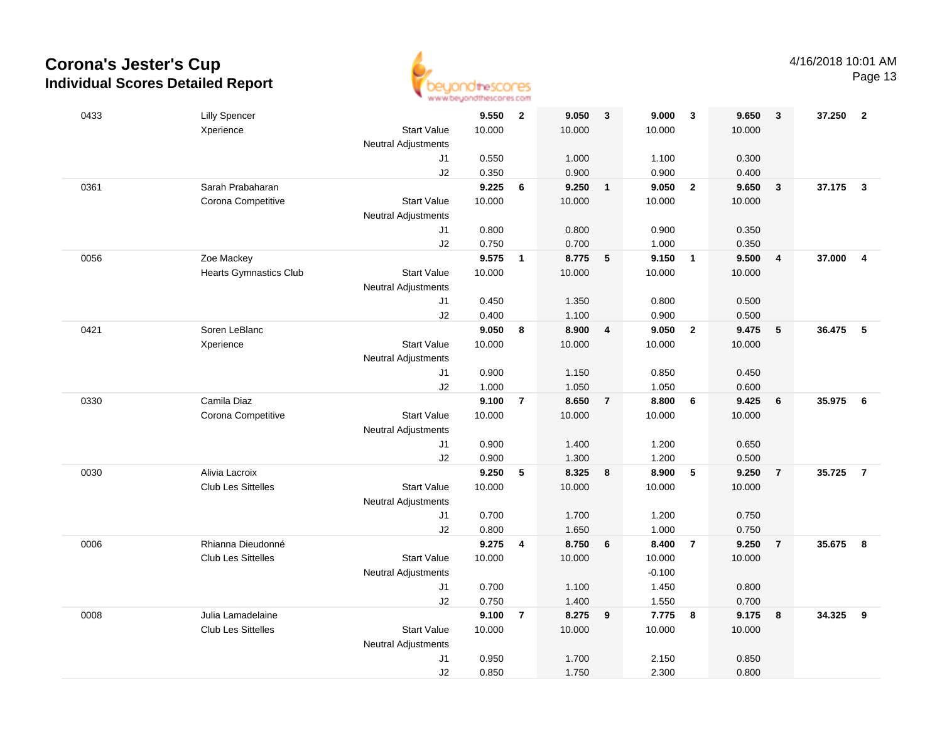

| 0433 | <b>Lilly Spencer</b>          |                            | 9.550  | $\overline{\mathbf{2}}$ | 9.050  | $\overline{\mathbf{3}}$ | 9.000    | $\overline{\mathbf{3}}$ | 9.650  | $\overline{\mathbf{3}}$ | 37.250   | $\overline{2}$          |
|------|-------------------------------|----------------------------|--------|-------------------------|--------|-------------------------|----------|-------------------------|--------|-------------------------|----------|-------------------------|
|      | Xperience                     | <b>Start Value</b>         | 10.000 |                         | 10.000 |                         | 10.000   |                         | 10.000 |                         |          |                         |
|      |                               | <b>Neutral Adjustments</b> |        |                         |        |                         |          |                         |        |                         |          |                         |
|      |                               | J1                         | 0.550  |                         | 1.000  |                         | 1.100    |                         | 0.300  |                         |          |                         |
|      |                               | J2                         | 0.350  |                         | 0.900  |                         | 0.900    |                         | 0.400  |                         |          |                         |
| 0361 | Sarah Prabaharan              |                            | 9.225  | 6                       | 9.250  | $\overline{1}$          | 9.050    | $\overline{\mathbf{2}}$ | 9.650  | $\mathbf{3}$            | 37.175   | $\overline{\mathbf{3}}$ |
|      | Corona Competitive            | <b>Start Value</b>         | 10.000 |                         | 10.000 |                         | 10.000   |                         | 10.000 |                         |          |                         |
|      |                               | <b>Neutral Adjustments</b> |        |                         |        |                         |          |                         |        |                         |          |                         |
|      |                               | J1                         | 0.800  |                         | 0.800  |                         | 0.900    |                         | 0.350  |                         |          |                         |
|      |                               | J2                         | 0.750  |                         | 0.700  |                         | 1.000    |                         | 0.350  |                         |          |                         |
| 0056 | Zoe Mackey                    |                            | 9.575  | $\mathbf{1}$            | 8.775  | $\sqrt{5}$              | 9.150    | $\overline{1}$          | 9.500  | $\overline{\mathbf{4}}$ | 37.000   | $\overline{\mathbf{4}}$ |
|      | <b>Hearts Gymnastics Club</b> | <b>Start Value</b>         | 10.000 |                         | 10.000 |                         | 10.000   |                         | 10.000 |                         |          |                         |
|      |                               | <b>Neutral Adjustments</b> |        |                         |        |                         |          |                         |        |                         |          |                         |
|      |                               | J1                         | 0.450  |                         | 1.350  |                         | 0.800    |                         | 0.500  |                         |          |                         |
|      |                               | J2                         | 0.400  |                         | 1.100  |                         | 0.900    |                         | 0.500  |                         |          |                         |
| 0421 | Soren LeBlanc                 |                            | 9.050  | 8                       | 8.900  | $\overline{\mathbf{4}}$ | 9.050    | $\overline{2}$          | 9.475  | $\sqrt{5}$              | 36.475 5 |                         |
|      | Xperience                     | <b>Start Value</b>         | 10.000 |                         | 10.000 |                         | 10.000   |                         | 10.000 |                         |          |                         |
|      |                               | <b>Neutral Adjustments</b> |        |                         |        |                         |          |                         |        |                         |          |                         |
|      |                               | J1                         | 0.900  |                         | 1.150  |                         | 0.850    |                         | 0.450  |                         |          |                         |
|      |                               | J2                         | 1.000  |                         | 1.050  |                         | 1.050    |                         | 0.600  |                         |          |                         |
| 0330 | Camila Diaz                   |                            | 9.100  | $\overline{7}$          | 8.650  | $\overline{7}$          | 8.800    | $6\phantom{1}6$         | 9.425  | 6                       | 35.975   | 6                       |
|      | Corona Competitive            | <b>Start Value</b>         | 10.000 |                         | 10.000 |                         | 10.000   |                         | 10.000 |                         |          |                         |
|      |                               | <b>Neutral Adjustments</b> |        |                         |        |                         |          |                         |        |                         |          |                         |
|      |                               | J1                         | 0.900  |                         | 1.400  |                         | 1.200    |                         | 0.650  |                         |          |                         |
|      |                               | J2                         | 0.900  |                         | 1.300  |                         | 1.200    |                         | 0.500  |                         |          |                         |
| 0030 | Alivia Lacroix                |                            | 9.250  | 5                       | 8.325  | $\overline{\mathbf{8}}$ | 8.900    | $-5$                    | 9.250  | $\overline{7}$          | 35.725   | $\overline{7}$          |
|      | <b>Club Les Sittelles</b>     | <b>Start Value</b>         | 10.000 |                         | 10.000 |                         | 10.000   |                         | 10.000 |                         |          |                         |
|      |                               | <b>Neutral Adjustments</b> |        |                         |        |                         |          |                         |        |                         |          |                         |
|      |                               | J1                         | 0.700  |                         | 1.700  |                         | 1.200    |                         | 0.750  |                         |          |                         |
|      |                               | J2                         | 0.800  |                         | 1.650  |                         | 1.000    |                         | 0.750  |                         |          |                         |
| 0006 | Rhianna Dieudonné             |                            | 9.275  | $\overline{4}$          | 8.750  | 6                       | 8.400    | $\overline{7}$          | 9.250  | $\overline{7}$          | 35.675   | 8                       |
|      | <b>Club Les Sittelles</b>     | <b>Start Value</b>         | 10.000 |                         | 10.000 |                         | 10.000   |                         | 10.000 |                         |          |                         |
|      |                               | <b>Neutral Adjustments</b> |        |                         |        |                         | $-0.100$ |                         |        |                         |          |                         |
|      |                               | J1                         | 0.700  |                         | 1.100  |                         | 1.450    |                         | 0.800  |                         |          |                         |
|      |                               | J2                         | 0.750  |                         | 1.400  |                         | 1.550    |                         | 0.700  |                         |          |                         |
| 0008 | Julia Lamadelaine             |                            | 9.100  | $\overline{7}$          | 8.275  | 9                       | 7.775    | $\overline{\mathbf{8}}$ | 9.175  | 8                       | 34.325   | 9                       |
|      | <b>Club Les Sittelles</b>     | <b>Start Value</b>         | 10.000 |                         | 10.000 |                         | 10.000   |                         | 10.000 |                         |          |                         |
|      |                               | <b>Neutral Adjustments</b> |        |                         |        |                         |          |                         |        |                         |          |                         |
|      |                               | J1                         | 0.950  |                         | 1.700  |                         | 2.150    |                         | 0.850  |                         |          |                         |
|      |                               | J2                         | 0.850  |                         | 1.750  |                         | 2.300    |                         | 0.800  |                         |          |                         |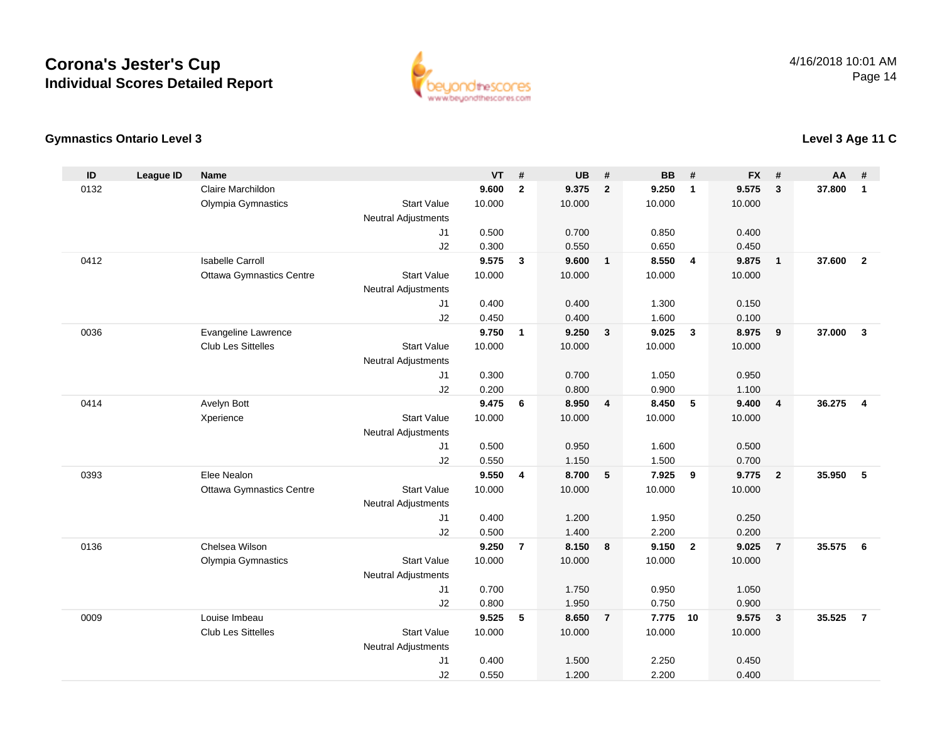

**Level 3 Age 11 C**

### **Gymnastics Ontario Level 3**

| ID   | <b>League ID</b> | <b>Name</b>                     |                            | <b>VT</b>      | #                       | <b>UB</b>      | #              | <b>BB</b>         | #              | <b>FX</b>      | #                       | AA     | #              |
|------|------------------|---------------------------------|----------------------------|----------------|-------------------------|----------------|----------------|-------------------|----------------|----------------|-------------------------|--------|----------------|
| 0132 |                  | Claire Marchildon               |                            | 9.600          | $\mathbf{2}$            | 9.375          | $\overline{2}$ | 9.250             | $\overline{1}$ | 9.575          | 3                       | 37.800 | $\mathbf{1}$   |
|      |                  | Olympia Gymnastics              | <b>Start Value</b>         | 10.000         |                         | 10.000         |                | 10.000            |                | 10.000         |                         |        |                |
|      |                  |                                 | <b>Neutral Adjustments</b> |                |                         |                |                |                   |                |                |                         |        |                |
|      |                  |                                 | J <sub>1</sub>             | 0.500          |                         | 0.700          |                | 0.850             |                | 0.400          |                         |        |                |
|      |                  |                                 | J2                         | 0.300          |                         | 0.550          |                | 0.650             |                | 0.450          |                         |        |                |
| 0412 |                  | <b>Isabelle Carroll</b>         |                            | 9.575          | $\overline{\mathbf{3}}$ | 9.600          | $\overline{1}$ | 8.550             | $\overline{4}$ | 9.875          | $\mathbf{1}$            | 37,600 | $\overline{2}$ |
|      |                  | <b>Ottawa Gymnastics Centre</b> | <b>Start Value</b>         | 10.000         |                         | 10.000         |                | 10.000            |                | 10.000         |                         |        |                |
|      |                  |                                 | <b>Neutral Adjustments</b> |                |                         |                |                |                   |                |                |                         |        |                |
|      |                  |                                 | J1                         | 0.400          |                         | 0.400          |                | 1.300             |                | 0.150          |                         |        |                |
|      |                  |                                 | J2                         | 0.450          |                         | 0.400          |                | 1.600             |                | 0.100          |                         |        |                |
| 0036 |                  | Evangeline Lawrence             |                            | 9.750          | $\mathbf{1}$            | 9.250          | $\mathbf{3}$   | 9.025             | $\mathbf{3}$   | 8.975          | 9                       | 37.000 | $\mathbf{3}$   |
|      |                  | Club Les Sittelles              | <b>Start Value</b>         | 10.000         |                         | 10.000         |                | 10.000            |                | 10.000         |                         |        |                |
|      |                  |                                 | <b>Neutral Adjustments</b> |                |                         |                |                |                   |                |                |                         |        |                |
|      |                  |                                 | J1                         | 0.300          |                         | 0.700          |                | 1.050             |                | 0.950          |                         |        |                |
|      |                  |                                 | J2                         | 0.200          |                         | 0.800          |                | 0.900             |                | 1.100          |                         |        |                |
| 0414 |                  | Avelyn Bott                     |                            | 9.475          | 6                       | 8.950          | $\overline{4}$ | 8.450             | 5              | 9.400          | $\overline{4}$          | 36.275 | $\overline{4}$ |
|      |                  | Xperience                       | <b>Start Value</b>         | 10.000         |                         | 10.000         |                | 10.000            |                | 10.000         |                         |        |                |
|      |                  |                                 | <b>Neutral Adjustments</b> |                |                         |                |                |                   |                |                |                         |        |                |
|      |                  |                                 | J <sub>1</sub>             | 0.500          |                         | 0.950          |                | 1.600             |                | 0.500          |                         |        |                |
|      |                  |                                 | J2                         | 0.550          |                         | 1.150          |                | 1.500             |                | 0.700          |                         |        |                |
| 0393 |                  | Elee Nealon                     |                            | 9.550          | $\overline{4}$          | 8.700          | 5              | 7.925             | 9              | 9.775          | $\overline{2}$          | 35.950 | 5              |
|      |                  | <b>Ottawa Gymnastics Centre</b> | <b>Start Value</b>         | 10.000         |                         | 10.000         |                | 10.000            |                | 10.000         |                         |        |                |
|      |                  |                                 | <b>Neutral Adjustments</b> |                |                         |                |                |                   |                |                |                         |        |                |
|      |                  |                                 | J1                         | 0.400          |                         | 1.200          |                | 1.950             |                | 0.250          |                         |        |                |
|      |                  |                                 | J2                         | 0.500          |                         | 1.400          |                | 2.200             |                | 0.200          |                         |        |                |
| 0136 |                  | Chelsea Wilson                  |                            | 9.250          | $\overline{7}$          | 8.150          | 8              | 9.150             | $\overline{2}$ | 9.025          | $\overline{7}$          | 35.575 | 6              |
|      |                  | Olympia Gymnastics              | <b>Start Value</b>         | 10.000         |                         | 10.000         |                | 10.000            |                | 10.000         |                         |        |                |
|      |                  |                                 | <b>Neutral Adjustments</b> |                |                         | 1.750          |                |                   |                |                |                         |        |                |
|      |                  |                                 | J1                         | 0.700          |                         |                |                | 0.950             |                | 1.050          |                         |        |                |
| 0009 |                  | Louise Imbeau                   | J2                         | 0.800<br>9.525 | 5                       | 1.950<br>8.650 | $\overline{7}$ | 0.750<br>7.775 10 |                | 0.900<br>9.575 | $\overline{\mathbf{3}}$ | 35.525 | $\overline{7}$ |
|      |                  | <b>Club Les Sittelles</b>       | <b>Start Value</b>         | 10.000         |                         | 10.000         |                | 10.000            |                |                |                         |        |                |
|      |                  |                                 | <b>Neutral Adjustments</b> |                |                         |                |                |                   |                | 10.000         |                         |        |                |
|      |                  |                                 | J <sub>1</sub>             | 0.400          |                         | 1.500          |                | 2.250             |                | 0.450          |                         |        |                |
|      |                  |                                 | J2                         | 0.550          |                         | 1.200          |                | 2.200             |                | 0.400          |                         |        |                |
|      |                  |                                 |                            |                |                         |                |                |                   |                |                |                         |        |                |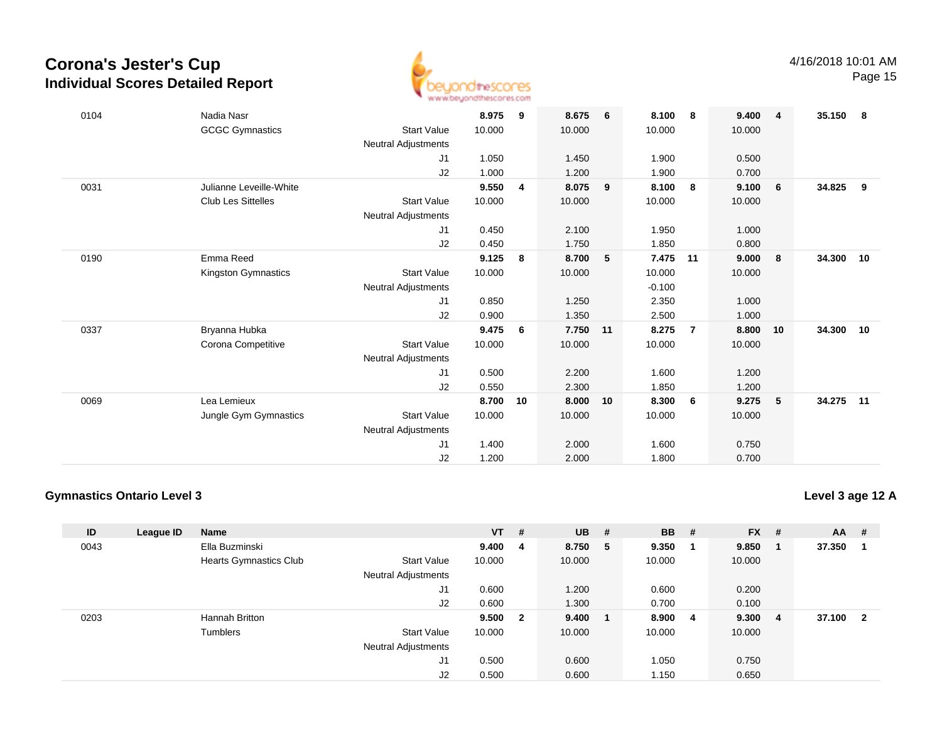

| 0104 | Nadia Nasr                |                            | 8.975  | 9  | 8.675  | 6  | 8.100    | -8             | 9.400  | $\overline{4}$ | 35.150 | - 8 |
|------|---------------------------|----------------------------|--------|----|--------|----|----------|----------------|--------|----------------|--------|-----|
|      | <b>GCGC Gymnastics</b>    | <b>Start Value</b>         | 10.000 |    | 10.000 |    | 10.000   |                | 10.000 |                |        |     |
|      |                           | Neutral Adjustments        |        |    |        |    |          |                |        |                |        |     |
|      |                           | J1                         | 1.050  |    | 1.450  |    | 1.900    |                | 0.500  |                |        |     |
|      |                           | J2                         | 1.000  |    | 1.200  |    | 1.900    |                | 0.700  |                |        |     |
| 0031 | Julianne Leveille-White   |                            | 9.550  | 4  | 8.075  | 9  | 8.100    | - 8            | 9.100  | 6              | 34.825 | - 9 |
|      | <b>Club Les Sittelles</b> | <b>Start Value</b>         | 10.000 |    | 10.000 |    | 10.000   |                | 10.000 |                |        |     |
|      |                           | Neutral Adjustments        |        |    |        |    |          |                |        |                |        |     |
|      |                           | J1                         | 0.450  |    | 2.100  |    | 1.950    |                | 1.000  |                |        |     |
|      |                           | J2                         | 0.450  |    | 1.750  |    | 1.850    |                | 0.800  |                |        |     |
| 0190 | Emma Reed                 |                            | 9.125  | 8  | 8.700  | 5  | 7.475    | 11             | 9.000  | 8              | 34.300 | 10  |
|      | Kingston Gymnastics       | <b>Start Value</b>         | 10.000 |    | 10.000 |    | 10.000   |                | 10.000 |                |        |     |
|      |                           | Neutral Adjustments        |        |    |        |    | $-0.100$ |                |        |                |        |     |
|      |                           | J1                         | 0.850  |    | 1.250  |    | 2.350    |                | 1.000  |                |        |     |
|      |                           | J2                         | 0.900  |    | 1.350  |    | 2.500    |                | 1.000  |                |        |     |
| 0337 | Bryanna Hubka             |                            | 9.475  | 6  | 7.750  | 11 | 8.275    | $\overline{7}$ | 8.800  | 10             | 34.300 | 10  |
|      | Corona Competitive        | <b>Start Value</b>         | 10.000 |    | 10.000 |    | 10.000   |                | 10.000 |                |        |     |
|      |                           | Neutral Adjustments        |        |    |        |    |          |                |        |                |        |     |
|      |                           | J1                         | 0.500  |    | 2.200  |    | 1.600    |                | 1.200  |                |        |     |
|      |                           | J2                         | 0.550  |    | 2.300  |    | 1.850    |                | 1.200  |                |        |     |
| 0069 | Lea Lemieux               |                            | 8.700  | 10 | 8.000  | 10 | 8.300    | 6              | 9.275  | 5              | 34.275 | 11  |
|      | Jungle Gym Gymnastics     | <b>Start Value</b>         | 10.000 |    | 10.000 |    | 10.000   |                | 10.000 |                |        |     |
|      |                           | <b>Neutral Adjustments</b> |        |    |        |    |          |                |        |                |        |     |
|      |                           | J1                         | 1.400  |    | 2.000  |    | 1.600    |                | 0.750  |                |        |     |
|      |                           | J2                         | 1.200  |    | 2.000  |    | 1.800    |                | 0.700  |                |        |     |

### **Gymnastics Ontario Level 3**

**Level 3 age 12 A**

| ID   | League ID | Name                          |                            | $VT$ # |                         | <b>UB</b> | #   | <b>BB</b> | # | $FX$ # |                         | AA     | - #                     |
|------|-----------|-------------------------------|----------------------------|--------|-------------------------|-----------|-----|-----------|---|--------|-------------------------|--------|-------------------------|
| 0043 |           | Ella Buzminski                |                            | 9.400  | - 4                     | 8.750     | - 5 | 9.350     |   | 9.850  |                         | 37.350 |                         |
|      |           | <b>Hearts Gymnastics Club</b> | <b>Start Value</b>         | 10.000 |                         | 10.000    |     | 10.000    |   | 10.000 |                         |        |                         |
|      |           |                               | Neutral Adjustments        |        |                         |           |     |           |   |        |                         |        |                         |
|      |           |                               | J1                         | 0.600  |                         | 1.200     |     | 0.600     |   | 0.200  |                         |        |                         |
|      |           |                               | J2                         | 0.600  |                         | 1.300     |     | 0.700     |   | 0.100  |                         |        |                         |
| 0203 |           | Hannah Britton                |                            | 9.500  | $\overline{\mathbf{2}}$ | 9.400     |     | 8.900     | 4 | 9.300  | $\overline{\mathbf{4}}$ | 37.100 | $\overline{\mathbf{2}}$ |
|      |           | Tumblers                      | <b>Start Value</b>         | 10.000 |                         | 10.000    |     | 10.000    |   | 10.000 |                         |        |                         |
|      |           |                               | <b>Neutral Adjustments</b> |        |                         |           |     |           |   |        |                         |        |                         |
|      |           |                               | J1                         | 0.500  |                         | 0.600     |     | 1.050     |   | 0.750  |                         |        |                         |
|      |           |                               | J2                         | 0.500  |                         | 0.600     |     | 1.150     |   | 0.650  |                         |        |                         |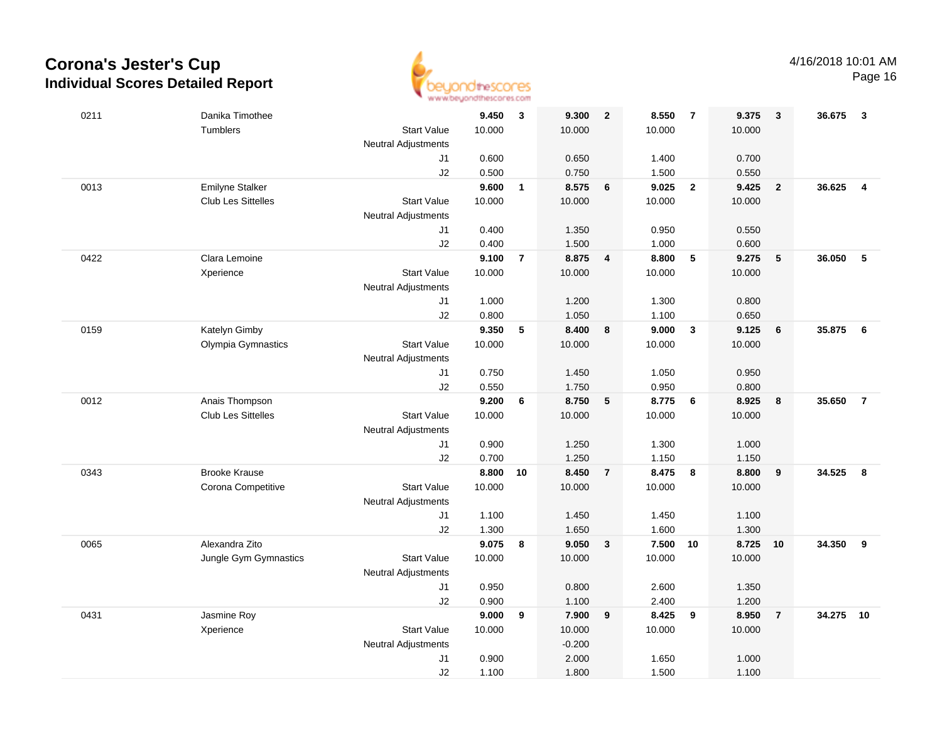

| 0211 | Danika Timothee           |                            | 9.450  | $\mathbf{3}$   | 9.300    | $\overline{2}$  | 8.550  | $\overline{7}$          | 9.375  | $\mathbf{3}$   | 36.675 | 3               |
|------|---------------------------|----------------------------|--------|----------------|----------|-----------------|--------|-------------------------|--------|----------------|--------|-----------------|
|      | Tumblers                  | <b>Start Value</b>         | 10.000 |                | 10.000   |                 | 10.000 |                         | 10.000 |                |        |                 |
|      |                           | <b>Neutral Adjustments</b> |        |                |          |                 |        |                         |        |                |        |                 |
|      |                           | J1                         | 0.600  |                | 0.650    |                 | 1.400  |                         | 0.700  |                |        |                 |
|      |                           | J2                         | 0.500  |                | 0.750    |                 | 1.500  |                         | 0.550  |                |        |                 |
| 0013 | <b>Emilyne Stalker</b>    |                            | 9.600  | $\mathbf{1}$   | 8.575    | 6               | 9.025  | $\overline{\mathbf{2}}$ | 9.425  | $\overline{2}$ | 36.625 | $\overline{4}$  |
|      | <b>Club Les Sittelles</b> | <b>Start Value</b>         | 10.000 |                | 10.000   |                 | 10.000 |                         | 10.000 |                |        |                 |
|      |                           | <b>Neutral Adjustments</b> |        |                |          |                 |        |                         |        |                |        |                 |
|      |                           | J1                         | 0.400  |                | 1.350    |                 | 0.950  |                         | 0.550  |                |        |                 |
|      |                           | J2                         | 0.400  |                | 1.500    |                 | 1.000  |                         | 0.600  |                |        |                 |
| 0422 | Clara Lemoine             |                            | 9.100  | $\overline{7}$ | 8.875    | $\overline{4}$  | 8.800  | $\sqrt{5}$              | 9.275  | 5              | 36.050 | $\sqrt{5}$      |
|      | Xperience                 | <b>Start Value</b>         | 10.000 |                | 10.000   |                 | 10.000 |                         | 10.000 |                |        |                 |
|      |                           | <b>Neutral Adjustments</b> |        |                |          |                 |        |                         |        |                |        |                 |
|      |                           | J1                         | 1.000  |                | 1.200    |                 | 1.300  |                         | 0.800  |                |        |                 |
|      |                           | J2                         | 0.800  |                | 1.050    |                 | 1.100  |                         | 0.650  |                |        |                 |
| 0159 | Katelyn Gimby             |                            | 9.350  | 5              | 8.400    | 8               | 9.000  | $\overline{\mathbf{3}}$ | 9.125  | 6              | 35.875 | $6\phantom{1}6$ |
|      | Olympia Gymnastics        | <b>Start Value</b>         | 10.000 |                | 10.000   |                 | 10.000 |                         | 10.000 |                |        |                 |
|      |                           | <b>Neutral Adjustments</b> |        |                |          |                 |        |                         |        |                |        |                 |
|      |                           | J1                         | 0.750  |                | 1.450    |                 | 1.050  |                         | 0.950  |                |        |                 |
|      |                           | J2                         | 0.550  |                | 1.750    |                 | 0.950  |                         | 0.800  |                |        |                 |
| 0012 | Anais Thompson            |                            | 9.200  | 6              | 8.750    | $5\phantom{.0}$ | 8.775  | $6\phantom{1}6$         | 8.925  | 8              | 35.650 | $\overline{7}$  |
|      | <b>Club Les Sittelles</b> | <b>Start Value</b>         | 10.000 |                | 10.000   |                 | 10.000 |                         | 10.000 |                |        |                 |
|      |                           | <b>Neutral Adjustments</b> |        |                |          |                 |        |                         |        |                |        |                 |
|      |                           | J1                         | 0.900  |                | 1.250    |                 | 1.300  |                         | 1.000  |                |        |                 |
|      |                           | J2                         | 0.700  |                | 1.250    |                 | 1.150  |                         | 1.150  |                |        |                 |
| 0343 | <b>Brooke Krause</b>      |                            | 8.800  | 10             | 8.450    | $\overline{7}$  | 8.475  | $\overline{\mathbf{8}}$ | 8.800  | 9              | 34.525 | 8               |
|      | Corona Competitive        | <b>Start Value</b>         | 10.000 |                | 10.000   |                 | 10.000 |                         | 10.000 |                |        |                 |
|      |                           | <b>Neutral Adjustments</b> |        |                |          |                 |        |                         |        |                |        |                 |
|      |                           | J1                         | 1.100  |                | 1.450    |                 | 1.450  |                         | 1.100  |                |        |                 |
|      |                           | J2                         | 1.300  |                | 1.650    |                 | 1.600  |                         | 1.300  |                |        |                 |
| 0065 | Alexandra Zito            |                            | 9.075  | 8              | 9.050    | $\mathbf{3}$    | 7.500  | 10                      | 8.725  | 10             | 34.350 | 9               |
|      | Jungle Gym Gymnastics     | <b>Start Value</b>         | 10.000 |                | 10.000   |                 | 10.000 |                         | 10.000 |                |        |                 |
|      |                           | <b>Neutral Adjustments</b> |        |                |          |                 |        |                         |        |                |        |                 |
|      |                           | J1                         | 0.950  |                | 0.800    |                 | 2.600  |                         | 1.350  |                |        |                 |
|      |                           | J2                         | 0.900  |                | 1.100    |                 | 2.400  |                         | 1.200  |                |        |                 |
| 0431 | Jasmine Roy               |                            | 9.000  | 9              | 7.900    | 9               | 8.425  | 9                       | 8.950  | $\overline{7}$ | 34.275 | 10              |
|      | Xperience                 | <b>Start Value</b>         | 10.000 |                | 10.000   |                 | 10.000 |                         | 10.000 |                |        |                 |
|      |                           | <b>Neutral Adjustments</b> |        |                | $-0.200$ |                 |        |                         |        |                |        |                 |
|      |                           | J1                         | 0.900  |                | 2.000    |                 | 1.650  |                         | 1.000  |                |        |                 |
|      |                           | J2                         | 1.100  |                | 1.800    |                 | 1.500  |                         | 1.100  |                |        |                 |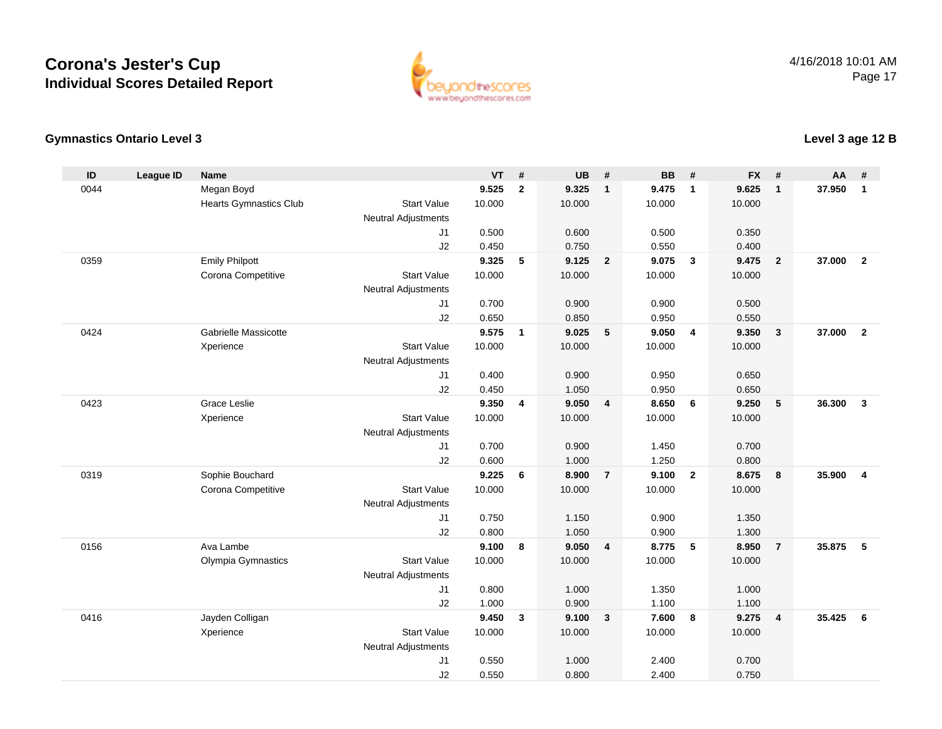

### **Gymnastics Ontario Level 3**

| ID   | <b>League ID</b> | <b>Name</b>                   |                            | <b>VT</b>      | #            | <b>UB</b>      | #              | <b>BB</b>      | #                       | <b>FX</b>      | #              | AA     | #              |
|------|------------------|-------------------------------|----------------------------|----------------|--------------|----------------|----------------|----------------|-------------------------|----------------|----------------|--------|----------------|
| 0044 |                  | Megan Boyd                    |                            | 9.525          | $\mathbf{2}$ | 9.325          | $\mathbf{1}$   | 9.475          | $\overline{1}$          | 9.625          | $\mathbf{1}$   | 37.950 | $\mathbf{1}$   |
|      |                  | <b>Hearts Gymnastics Club</b> | <b>Start Value</b>         | 10.000         |              | 10.000         |                | 10.000         |                         | 10.000         |                |        |                |
|      |                  |                               | <b>Neutral Adjustments</b> |                |              |                |                |                |                         |                |                |        |                |
|      |                  |                               | J <sub>1</sub>             | 0.500          |              | 0.600          |                | 0.500          |                         | 0.350          |                |        |                |
|      |                  |                               | J2                         | 0.450          |              | 0.750          |                | 0.550          |                         | 0.400          |                |        |                |
| 0359 |                  | <b>Emily Philpott</b>         |                            | 9.325          | 5            | 9.125          | $\overline{2}$ | 9.075          | $\overline{\mathbf{3}}$ | 9.475          | $\overline{2}$ | 37.000 | $\overline{2}$ |
|      |                  | Corona Competitive            | <b>Start Value</b>         | 10.000         |              | 10.000         |                | 10.000         |                         | 10.000         |                |        |                |
|      |                  |                               | <b>Neutral Adjustments</b> |                |              |                |                |                |                         |                |                |        |                |
|      |                  |                               | J1                         | 0.700          |              | 0.900          |                | 0.900          |                         | 0.500          |                |        |                |
|      |                  |                               | J2                         | 0.650          |              | 0.850          |                | 0.950          |                         | 0.550          |                |        |                |
| 0424 |                  | Gabrielle Massicotte          |                            | 9.575          | $\mathbf{1}$ | 9.025          | 5              | 9.050          | $\overline{4}$          | 9.350          | $\mathbf{3}$   | 37.000 | $\overline{2}$ |
|      |                  | Xperience                     | <b>Start Value</b>         | 10.000         |              | 10.000         |                | 10.000         |                         | 10.000         |                |        |                |
|      |                  |                               | <b>Neutral Adjustments</b> |                |              |                |                |                |                         |                |                |        |                |
|      |                  |                               | J1                         | 0.400          |              | 0.900          |                | 0.950          |                         | 0.650          |                |        |                |
|      |                  |                               | J2                         | 0.450          |              | 1.050          |                | 0.950          |                         | 0.650          |                |        |                |
| 0423 |                  | Grace Leslie                  |                            | 9.350          | 4            | 9.050          | $\overline{4}$ | 8.650          | 6                       | 9.250          | 5              | 36.300 | $\mathbf{3}$   |
|      |                  | Xperience                     | <b>Start Value</b>         | 10.000         |              | 10.000         |                | 10.000         |                         | 10.000         |                |        |                |
|      |                  |                               | <b>Neutral Adjustments</b> |                |              |                |                |                |                         |                |                |        |                |
|      |                  |                               | J <sub>1</sub>             | 0.700          |              | 0.900          |                | 1.450          |                         | 0.700          |                |        |                |
|      |                  |                               | J2                         | 0.600          |              | 1.000          |                | 1.250          |                         | 0.800          |                |        |                |
| 0319 |                  | Sophie Bouchard               |                            | 9.225          | 6            | 8.900          | $\overline{7}$ | 9.100          | $\overline{2}$          | 8.675          | 8              | 35.900 | $\overline{4}$ |
|      |                  | Corona Competitive            | <b>Start Value</b>         | 10.000         |              | 10.000         |                | 10.000         |                         | 10.000         |                |        |                |
|      |                  |                               | <b>Neutral Adjustments</b> |                |              |                |                |                |                         |                |                |        |                |
|      |                  |                               | J1                         | 0.750          |              | 1.150          |                | 0.900          |                         | 1.350          |                |        |                |
|      |                  | Ava Lambe                     | J2                         | 0.800          | 8            | 1.050          |                | 0.900          | 5                       | 1.300          |                | 35,875 | 5              |
| 0156 |                  |                               |                            | 9.100          |              | 9.050          | $\overline{4}$ | 8.775          |                         | 8.950          | $\overline{7}$ |        |                |
|      |                  | Olympia Gymnastics            | <b>Start Value</b>         | 10.000         |              | 10.000         |                | 10.000         |                         | 10.000         |                |        |                |
|      |                  |                               | <b>Neutral Adjustments</b> | 0.800          |              | 1.000          |                | 1.350          |                         | 1.000          |                |        |                |
|      |                  |                               | J1                         |                |              |                |                |                |                         |                |                |        |                |
| 0416 |                  | Jayden Colligan               | J2                         | 1.000<br>9.450 | $\mathbf{3}$ | 0.900<br>9.100 | $\mathbf{3}$   | 1.100<br>7.600 | 8                       | 1.100<br>9.275 | $\overline{4}$ | 35.425 | 6              |
|      |                  |                               | <b>Start Value</b>         | 10.000         |              | 10.000         |                | 10.000         |                         |                |                |        |                |
|      |                  | Xperience                     | <b>Neutral Adjustments</b> |                |              |                |                |                |                         | 10.000         |                |        |                |
|      |                  |                               | J1                         | 0.550          |              | 1.000          |                | 2.400          |                         | 0.700          |                |        |                |
|      |                  |                               | J2                         | 0.550          |              | 0.800          |                | 2.400          |                         | 0.750          |                |        |                |
|      |                  |                               |                            |                |              |                |                |                |                         |                |                |        |                |

**Level 3 age 12 B**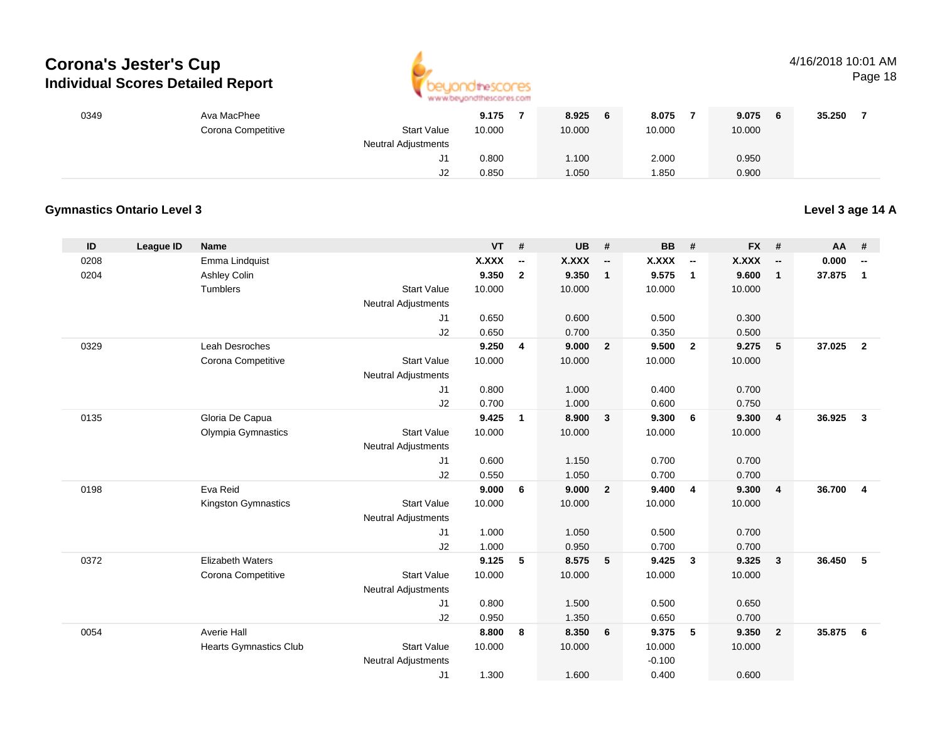

## 4/16/2018 10:01 AM

Page 18

| 0349 | Ava MacPhee        |                            | 9.175  | 8.925<br>6 | 8.075  | 9.075  | 35.250 |
|------|--------------------|----------------------------|--------|------------|--------|--------|--------|
|      | Corona Competitive | <b>Start Value</b>         | 10.000 | 10.000     | 10.000 | 10.000 |        |
|      |                    | <b>Neutral Adjustments</b> |        |            |        |        |        |
|      |                    | ا ب                        | 0.800  | 1.100      | 2.000  | 0.950  |        |
|      |                    | J2                         | 0.850  | 1.050      | 1.850  | 0.900  |        |

### **Gymnastics Ontario Level 3**

**Level 3 age 14 A**

| ID   | League ID | <b>Name</b>                   |                            | <b>VT</b>    | #              | <b>UB</b>    | #                        | <b>BB</b>    | #                        | <b>FX</b>    | #              | AA     | #                        |
|------|-----------|-------------------------------|----------------------------|--------------|----------------|--------------|--------------------------|--------------|--------------------------|--------------|----------------|--------|--------------------------|
| 0208 |           | Emma Lindquist                |                            | <b>X.XXX</b> | --             | <b>X.XXX</b> | $\overline{\phantom{a}}$ | <b>X.XXX</b> | $\overline{\phantom{a}}$ | <b>X.XXX</b> | --             | 0.000  | $\overline{\phantom{a}}$ |
| 0204 |           | Ashley Colin                  |                            | 9.350        | $\overline{2}$ | 9.350        | $\mathbf{1}$             | 9.575        | $\overline{1}$           | 9.600        | $\mathbf{1}$   | 37.875 | $\mathbf{1}$             |
|      |           | Tumblers                      | <b>Start Value</b>         | 10.000       |                | 10.000       |                          | 10.000       |                          | 10.000       |                |        |                          |
|      |           |                               | <b>Neutral Adjustments</b> |              |                |              |                          |              |                          |              |                |        |                          |
|      |           |                               | J1                         | 0.650        |                | 0.600        |                          | 0.500        |                          | 0.300        |                |        |                          |
|      |           |                               | J2                         | 0.650        |                | 0.700        |                          | 0.350        |                          | 0.500        |                |        |                          |
| 0329 |           | Leah Desroches                |                            | 9.250        | 4              | 9.000        | $\overline{2}$           | 9.500        | $\overline{2}$           | 9.275        | 5              | 37.025 | $\overline{2}$           |
|      |           | Corona Competitive            | <b>Start Value</b>         | 10.000       |                | 10.000       |                          | 10.000       |                          | 10.000       |                |        |                          |
|      |           |                               | <b>Neutral Adjustments</b> |              |                |              |                          |              |                          |              |                |        |                          |
|      |           |                               | J1                         | 0.800        |                | 1.000        |                          | 0.400        |                          | 0.700        |                |        |                          |
|      |           |                               | J2                         | 0.700        |                | 1.000        |                          | 0.600        |                          | 0.750        |                |        |                          |
| 0135 |           | Gloria De Capua               |                            | 9.425        | 1              | 8.900        | $\mathbf{3}$             | 9.300        | 6                        | 9.300        | $\overline{4}$ | 36.925 | 3                        |
|      |           | Olympia Gymnastics            | <b>Start Value</b>         | 10.000       |                | 10.000       |                          | 10.000       |                          | 10.000       |                |        |                          |
|      |           |                               | <b>Neutral Adjustments</b> |              |                |              |                          |              |                          |              |                |        |                          |
|      |           |                               | J1                         | 0.600        |                | 1.150        |                          | 0.700        |                          | 0.700        |                |        |                          |
|      |           |                               | J2                         | 0.550        |                | 1.050        |                          | 0.700        |                          | 0.700        |                |        |                          |
| 0198 |           | Eva Reid                      |                            | 9.000        | 6              | 9.000        | $\overline{2}$           | 9.400        | $\overline{4}$           | 9.300        | $\overline{4}$ | 36.700 | $\overline{4}$           |
|      |           | Kingston Gymnastics           | <b>Start Value</b>         | 10.000       |                | 10.000       |                          | 10.000       |                          | 10.000       |                |        |                          |
|      |           |                               | <b>Neutral Adjustments</b> |              |                |              |                          |              |                          |              |                |        |                          |
|      |           |                               | J1                         | 1.000        |                | 1.050        |                          | 0.500        |                          | 0.700        |                |        |                          |
|      |           |                               | J2                         | 1.000        |                | 0.950        |                          | 0.700        |                          | 0.700        |                |        |                          |
| 0372 |           | <b>Elizabeth Waters</b>       |                            | 9.125        | 5              | 8.575        | 5                        | 9.425        | $\mathbf{3}$             | 9.325        | $\mathbf{3}$   | 36.450 | 5                        |
|      |           | Corona Competitive            | <b>Start Value</b>         | 10.000       |                | 10.000       |                          | 10.000       |                          | 10.000       |                |        |                          |
|      |           |                               | Neutral Adjustments        |              |                |              |                          |              |                          |              |                |        |                          |
|      |           |                               | J1                         | 0.800        |                | 1.500        |                          | 0.500        |                          | 0.650        |                |        |                          |
|      |           |                               | J2                         | 0.950        |                | 1.350        |                          | 0.650        |                          | 0.700        |                |        |                          |
| 0054 |           | <b>Averie Hall</b>            |                            | 8.800        | 8              | 8.350        | 6                        | 9.375        | 5                        | 9.350        | $\overline{2}$ | 35.875 | 6                        |
|      |           | <b>Hearts Gymnastics Club</b> | <b>Start Value</b>         | 10.000       |                | 10.000       |                          | 10.000       |                          | 10.000       |                |        |                          |
|      |           |                               | <b>Neutral Adjustments</b> |              |                |              |                          | $-0.100$     |                          |              |                |        |                          |
|      |           |                               | J <sub>1</sub>             | 1.300        |                | 1.600        |                          | 0.400        |                          | 0.600        |                |        |                          |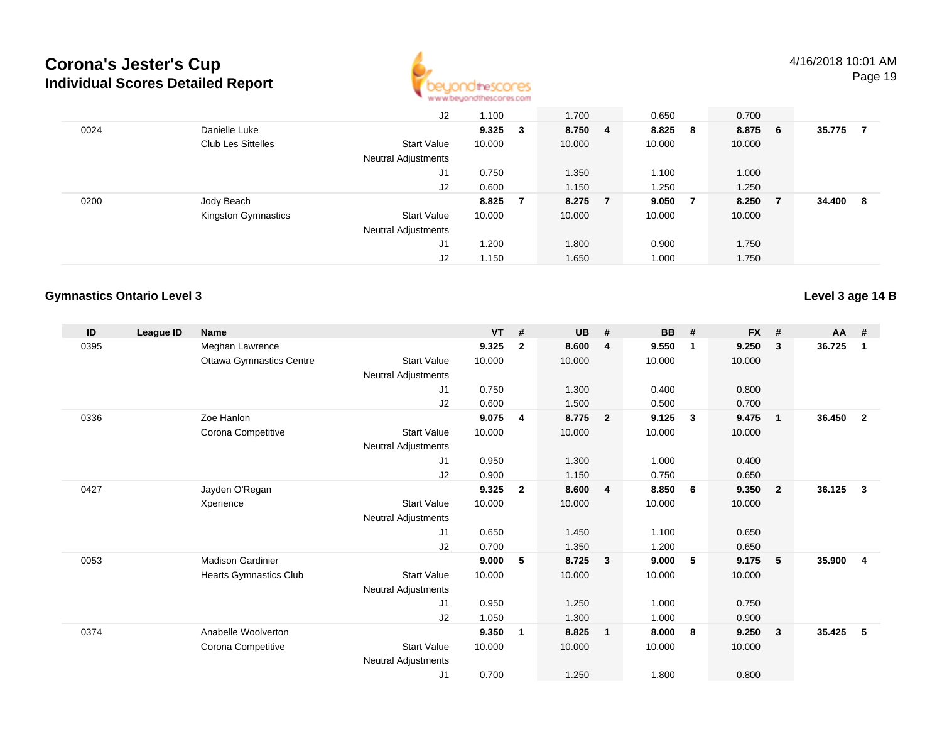

|      |                           | J2                         | 1.100           |   | 1.700   |                | 0.650  |                | 0.700  |     |        |    |
|------|---------------------------|----------------------------|-----------------|---|---------|----------------|--------|----------------|--------|-----|--------|----|
| 0024 | Danielle Luke             |                            | $9.325 \quad 3$ |   | 8.750 4 |                | 8.825  | - 8            | 8.875  | - 6 | 35.775 |    |
|      | <b>Club Les Sittelles</b> | <b>Start Value</b>         | 10.000          |   | 10.000  |                | 10.000 |                | 10.000 |     |        |    |
|      |                           | <b>Neutral Adjustments</b> |                 |   |         |                |        |                |        |     |        |    |
|      |                           | J1                         | 0.750           |   | 1.350   |                | 1.100  |                | 1.000  |     |        |    |
|      |                           | J2                         | 0.600           |   | 1.150   |                | 1.250  |                | 1.250  |     |        |    |
| 0200 | Jody Beach                |                            | 8.825           | 7 | 8.275   | $\overline{7}$ | 9.050  | $\overline{7}$ | 8.250  | - 7 | 34.400 | -8 |
|      | Kingston Gymnastics       | <b>Start Value</b>         | 10.000          |   | 10.000  |                | 10.000 |                | 10.000 |     |        |    |
|      |                           | <b>Neutral Adjustments</b> |                 |   |         |                |        |                |        |     |        |    |
|      |                           | J1                         | .200            |   | 1.800   |                | 0.900  |                | 1.750  |     |        |    |
|      |                           | J2                         | 1.150           |   | 1.650   |                | 1.000  |                | 1.750  |     |        |    |

#### **Gymnastics Ontario Level 3**

**Level 3 age 14 B**

| ID   | League ID | Name                            |                            | <b>VT</b> | #              | <b>UB</b> | #                       | BB     | #            | <b>FX</b> | #            | $AA$ # |                         |
|------|-----------|---------------------------------|----------------------------|-----------|----------------|-----------|-------------------------|--------|--------------|-----------|--------------|--------|-------------------------|
| 0395 |           | Meghan Lawrence                 |                            | 9.325     | $\overline{2}$ | 8.600     | $\overline{4}$          | 9.550  | $\mathbf{1}$ | 9.250     | 3            | 36.725 | $\mathbf 1$             |
|      |           | <b>Ottawa Gymnastics Centre</b> | <b>Start Value</b>         | 10.000    |                | 10.000    |                         | 10.000 |              | 10.000    |              |        |                         |
|      |           |                                 | <b>Neutral Adjustments</b> |           |                |           |                         |        |              |           |              |        |                         |
|      |           |                                 | J1                         | 0.750     |                | 1.300     |                         | 0.400  |              | 0.800     |              |        |                         |
|      |           |                                 | J <sub>2</sub>             | 0.600     |                | 1.500     |                         | 0.500  |              | 0.700     |              |        |                         |
| 0336 |           | Zoe Hanlon                      |                            | 9.075     | 4              | 8.775     | $\overline{\mathbf{2}}$ | 9.125  | -3           | 9.475     | $\mathbf{1}$ | 36.450 | $\overline{\mathbf{2}}$ |
|      |           | Corona Competitive              | <b>Start Value</b>         | 10.000    |                | 10.000    |                         | 10.000 |              | 10.000    |              |        |                         |
|      |           |                                 | Neutral Adjustments        |           |                |           |                         |        |              |           |              |        |                         |
|      |           |                                 | J <sub>1</sub>             | 0.950     |                | 1.300     |                         | 1.000  |              | 0.400     |              |        |                         |
|      |           |                                 | J <sub>2</sub>             | 0.900     |                | 1.150     |                         | 0.750  |              | 0.650     |              |        |                         |
| 0427 |           | Jayden O'Regan                  |                            | 9.325     | $\overline{2}$ | 8.600     | $\overline{4}$          | 8.850  | 6            | 9.350     | $\mathbf{2}$ | 36.125 | 3                       |
|      |           | Xperience                       | <b>Start Value</b>         | 10.000    |                | 10.000    |                         | 10.000 |              | 10.000    |              |        |                         |
|      |           |                                 | <b>Neutral Adjustments</b> |           |                |           |                         |        |              |           |              |        |                         |
|      |           |                                 | J <sub>1</sub>             | 0.650     |                | 1.450     |                         | 1.100  |              | 0.650     |              |        |                         |
|      |           |                                 | J <sub>2</sub>             | 0.700     |                | 1.350     |                         | 1.200  |              | 0.650     |              |        |                         |
| 0053 |           | <b>Madison Gardinier</b>        |                            | 9.000     | 5              | 8.725     | $\overline{\mathbf{3}}$ | 9.000  | -5           | 9.175     | 5            | 35.900 | $\overline{4}$          |
|      |           | Hearts Gymnastics Club          | <b>Start Value</b>         | 10.000    |                | 10.000    |                         | 10.000 |              | 10.000    |              |        |                         |
|      |           |                                 | <b>Neutral Adjustments</b> |           |                |           |                         |        |              |           |              |        |                         |
|      |           |                                 | J <sub>1</sub>             | 0.950     |                | 1.250     |                         | 1.000  |              | 0.750     |              |        |                         |
|      |           |                                 | J <sub>2</sub>             | 1.050     |                | 1.300     |                         | 1.000  |              | 0.900     |              |        |                         |
| 0374 |           | Anabelle Woolverton             |                            | 9.350     | 1              | 8.825     | $\overline{\mathbf{1}}$ | 8.000  | 8            | 9.250     | 3            | 35.425 | 5                       |
|      |           | Corona Competitive              | <b>Start Value</b>         | 10.000    |                | 10.000    |                         | 10.000 |              | 10.000    |              |        |                         |
|      |           |                                 | <b>Neutral Adjustments</b> |           |                |           |                         |        |              |           |              |        |                         |
|      |           |                                 | J1                         | 0.700     |                | 1.250     |                         | 1.800  |              | 0.800     |              |        |                         |